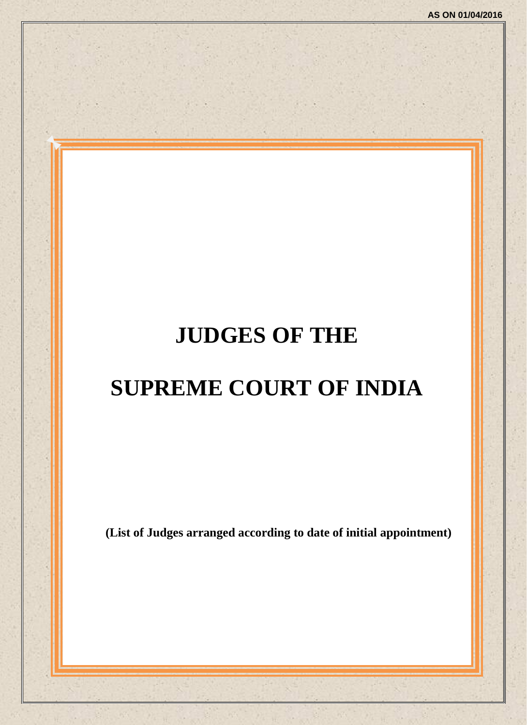# **JUDGES OF THE**

# **SUPREME COURT OF INDIA**

**(List of Judges arranged according to date of initial appointment)**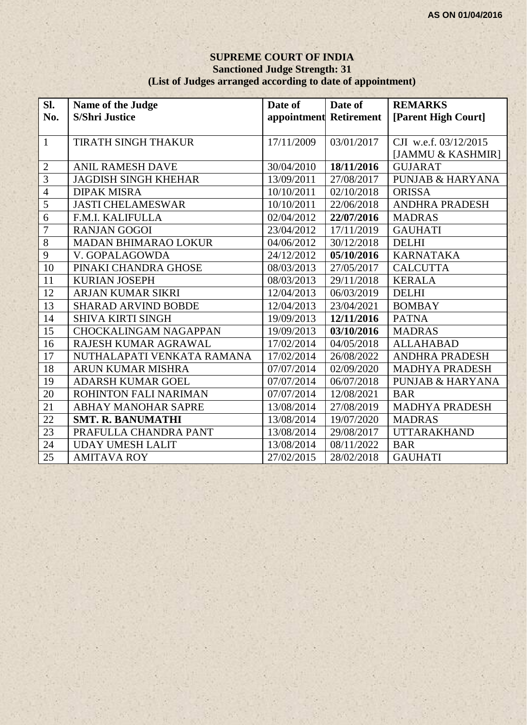### **SUPREME COURT OF INDIA Sanctioned Judge Strength: 31 (List of Judges arranged according to date of appointment)**

| SI.            | Name of the Judge            | Date of                 | Date of    | <b>REMARKS</b>              |
|----------------|------------------------------|-------------------------|------------|-----------------------------|
| No.            | <b>S/Shri Justice</b>        | appointment Retirement  |            | [Parent High Court]         |
|                |                              |                         |            |                             |
| $\mathbf{1}$   | <b>TIRATH SINGH THAKUR</b>   | $\frac{17}{17/11/2009}$ | 03/01/2017 | CJI w.e.f. 03/12/2015       |
|                |                              |                         |            | [JAMMU & KASHMIR]           |
| $\overline{2}$ | <b>ANIL RAMESH DAVE</b>      | 30/04/2010              | 18/11/2016 | <b>GUJARAT</b>              |
| $\overline{3}$ | <b>JAGDISH SINGH KHEHAR</b>  | 13/09/2011              | 27/08/2017 | <b>PUNJAB &amp; HARYANA</b> |
| $\overline{4}$ | <b>DIPAK MISRA</b>           | 10/10/2011              | 02/10/2018 | <b>ORISSA</b>               |
| 5              | <b>JASTI CHELAMESWAR</b>     | 10/10/2011              | 22/06/2018 | <b>ANDHRA PRADESH</b>       |
| 6              | F.M.I. KALIFULLA             | 02/04/2012              | 22/07/2016 | <b>MADRAS</b>               |
| $\overline{7}$ | <b>RANJAN GOGOI</b>          | 23/04/2012              | 17/11/2019 | <b>GAUHATI</b>              |
| $\overline{8}$ | <b>MADAN BHIMARAO LOKUR</b>  | 04/06/2012              | 30/12/2018 | <b>DELHI</b>                |
| 9              | V. GOPALAGOWDA               | 24/12/2012              | 05/10/2016 | <b>KARNATAKA</b>            |
| 10             | PINAKI CHANDRA GHOSE         | 08/03/2013              | 27/05/2017 | <b>CALCUTTA</b>             |
| 11             | <b>KURIAN JOSEPH</b>         | 08/03/2013              | 29/11/2018 | <b>KERALA</b>               |
| 12             | ARJAN KUMAR SIKRI            | 12/04/2013              | 06/03/2019 | <b>DELHI</b>                |
| 13             | <b>SHARAD ARVIND BOBDE</b>   | 12/04/2013              | 23/04/2021 | <b>BOMBAY</b>               |
| 14             | <b>SHIVA KIRTI SINGH</b>     | 19/09/2013              | 12/11/2016 | <b>PATNA</b>                |
| 15             | <b>CHOCKALINGAM NAGAPPAN</b> | 19/09/2013              | 03/10/2016 | <b>MADRAS</b>               |
| 16             | RAJESH KUMAR AGRAWAL         | 17/02/2014              | 04/05/2018 | <b>ALLAHABAD</b>            |
| 17             | NUTHALAPATI VENKATA RAMANA   | 17/02/2014              | 26/08/2022 | <b>ANDHRA PRADESH</b>       |
| 18             | ARUN KUMAR MISHRA            | 07/07/2014              | 02/09/2020 | <b>MADHYA PRADESH</b>       |
| 19             | <b>ADARSH KUMAR GOEL</b>     | 07/07/2014              | 06/07/2018 | <b>PUNJAB &amp; HARYANA</b> |
| 20             | ROHINTON FALI NARIMAN        | 07/07/2014              | 12/08/2021 | <b>BAR</b>                  |
| 21             | ABHAY MANOHAR SAPRE          | 13/08/2014              | 27/08/2019 | <b>MADHYA PRADESH</b>       |
| 22             | <b>SMT. R. BANUMATHI</b>     | 13/08/2014              | 19/07/2020 | <b>MADRAS</b>               |
| 23             | PRAFULLA CHANDRA PANT        | 13/08/2014              | 29/08/2017 | <b>UTTARAKHAND</b>          |
| 24             | <b>UDAY UMESH LALIT</b>      | 13/08/2014              | 08/11/2022 | <b>BAR</b>                  |
| 25             | <b>AMITAVA ROY</b>           | 27/02/2015              | 28/02/2018 | <b>GAUHATI</b>              |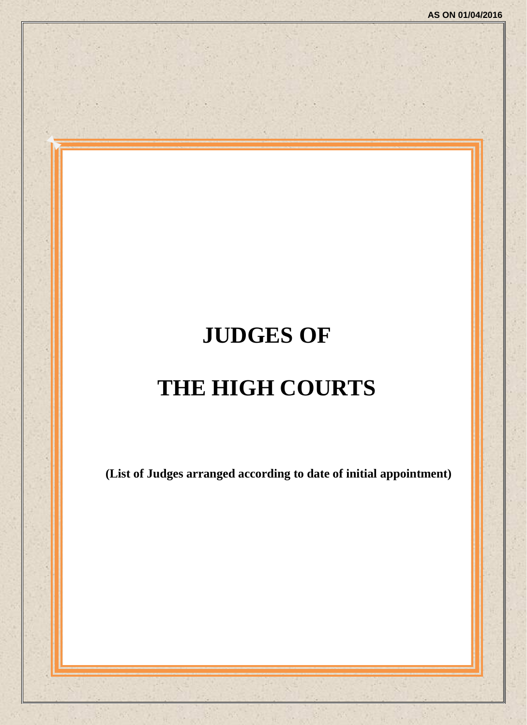# **JUDGES OF**

# **THE HIGH COURTS**

**(List of Judges arranged according to date of initial appointment)**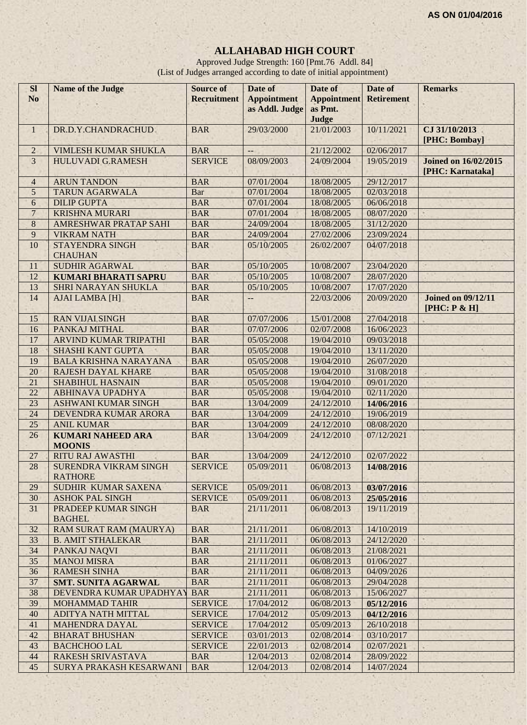# **ALLAHABAD HIGH COURT**

Approved Judge Strength: 160 [Pmt.76 Addl. 84] (List of Judges arranged according to date of initial appointment)

| <b>SI</b><br>N <sub>o</sub> | Name of the Judge                              | <b>Source of</b><br><b>Recruitment</b> | Date of<br><b>Appointment</b><br>as Addl. Judge | Date of<br><b>Appointment</b><br>as Pmt.<br>Judge | Date of<br><b>Retirement</b> | <b>Remarks</b>                                  |
|-----------------------------|------------------------------------------------|----------------------------------------|-------------------------------------------------|---------------------------------------------------|------------------------------|-------------------------------------------------|
| $\mathbf{1}$                | DR.D.Y.CHANDRACHUD                             | <b>BAR</b>                             | 29/03/2000                                      | 21/01/2003                                        | 10/11/2021                   | CJ 31/10/2013<br>[PHC: Bombay]                  |
| $\overline{c}$              | <b>VIMLESH KUMAR SHUKLA</b>                    | <b>BAR</b>                             | $\mathord{\hspace{1pt}\text{--}\hspace{1pt}}$   | 21/12/2002                                        | 02/06/2017                   |                                                 |
| $\overline{3}$              | <b>HULUVADI G.RAMESH</b>                       | <b>SERVICE</b>                         | 08/09/2003                                      | 24/09/2004                                        | 19/05/2019                   | <b>Joined on 16/02/2015</b><br>[PHC: Karnataka] |
| $\overline{4}$              | <b>ARUN TANDON</b>                             | <b>BAR</b>                             | 07/01/2004                                      | 18/08/2005                                        | 29/12/2017                   |                                                 |
| 5                           | <b>TARUN AGARWALA</b>                          | Bar                                    | 07/01/2004                                      | 18/08/2005                                        | 02/03/2018                   |                                                 |
| 6                           | <b>DILIP GUPTA</b>                             | <b>BAR</b>                             | 07/01/2004                                      | 18/08/2005                                        | 06/06/2018                   |                                                 |
| $\overline{7}$              | <b>KRISHNA MURARI</b>                          | <b>BAR</b>                             | 07/01/2004                                      | 18/08/2005                                        | 08/07/2020                   |                                                 |
| 8                           | AMRESHWAR PRATAP SAHI                          | <b>BAR</b>                             | 24/09/2004                                      | 18/08/2005                                        | 31/12/2020                   |                                                 |
| 9                           | <b>VIKRAM NATH</b>                             | <b>BAR</b>                             | 24/09/2004                                      | 27/02/2006                                        | 23/09/2024                   |                                                 |
| 10                          | <b>STAYENDRA SINGH</b><br><b>CHAUHAN</b>       | <b>BAR</b>                             | 05/10/2005                                      | 26/02/2007                                        | 04/07/2018                   |                                                 |
| 11                          | <b>SUDHIR AGARWAL</b>                          | <b>BAR</b>                             | 05/10/2005                                      | 10/08/2007                                        | 23/04/2020                   |                                                 |
| 12                          | <b>KUMARI BHARATI SAPRU</b>                    | <b>BAR</b>                             | 05/10/2005                                      | 10/08/2007                                        | 28/07/2020                   |                                                 |
| 13                          | SHRI NARAYAN SHUKLA                            | <b>BAR</b>                             | 05/10/2005                                      | 10/08/2007                                        | 17/07/2020                   |                                                 |
| 14                          | <b>AJAI LAMBA [H]</b>                          | <b>BAR</b>                             | $\qquad \qquad -$                               | 22/03/2006                                        | 20/09/2020                   | <b>Joined on 09/12/11</b><br>[PHC: P & H]       |
| 15                          | <b>RAN VIJAI SINGH</b>                         | <b>BAR</b>                             | 07/07/2006                                      | 15/01/2008                                        | 27/04/2018                   |                                                 |
| 16                          | PANKAJ MITHAL                                  | <b>BAR</b>                             | 07/07/2006                                      | 02/07/2008                                        | 16/06/2023                   |                                                 |
| 17                          | ARVIND KUMAR TRIPATHI                          | <b>BAR</b>                             | 05/05/2008                                      | 19/04/2010                                        | 09/03/2018                   |                                                 |
| 18                          | <b>SHASHI KANT GUPTA</b>                       | <b>BAR</b>                             | 05/05/2008                                      | 19/04/2010                                        | 13/11/2020                   |                                                 |
| 19                          | <b>BALA KRISHNA NARAYANA</b>                   | <b>BAR</b>                             | 05/05/2008                                      | 19/04/2010                                        | 26/07/2020                   |                                                 |
| 20                          | <b>RAJESH DAYAL KHARE</b>                      | <b>BAR</b>                             | 05/05/2008                                      | 19/04/2010                                        | 31/08/2018                   |                                                 |
| 21                          | <b>SHABIHUL HASNAIN</b>                        | <b>BAR</b>                             | 05/05/2008                                      | 19/04/2010                                        | 09/01/2020                   |                                                 |
| 22                          | <b>ABHINAVA UPADHYA</b>                        | <b>BAR</b>                             | 05/05/2008                                      | 19/04/2010                                        | 02/11/2020                   |                                                 |
| 23                          | <b>ASHWANI KUMAR SINGH</b>                     | <b>BAR</b>                             | 13/04/2009                                      | 24/12/2010                                        | 14/06/2016                   |                                                 |
| 24                          | DEVENDRA KUMAR ARORA                           | <b>BAR</b>                             | 13/04/2009                                      | 24/12/2010                                        | 19/06/2019                   |                                                 |
| 25                          | <b>ANIL KUMAR</b>                              | <b>BAR</b>                             | 13/04/2009                                      | 24/12/2010                                        | 08/08/2020                   |                                                 |
| 26                          | <b>KUMARI NAHEED ARA</b><br><b>MOONIS</b>      | <b>BAR</b>                             | 13/04/2009                                      | 24/12/2010                                        | 07/12/2021                   |                                                 |
| 27                          | <b>RITU RAJ AWASTHI</b>                        | <b>BAR</b>                             | 13/04/2009                                      | 24/12/2010                                        | 02/07/2022                   |                                                 |
| 28                          | <b>SURENDRA VIKRAM SINGH</b><br><b>RATHORE</b> | <b>SERVICE</b>                         | 05/09/2011                                      | 06/08/2013                                        | 14/08/2016                   |                                                 |
| 29                          | SUDHIR KUMAR SAXENA                            | <b>SERVICE</b>                         | 05/09/2011                                      | 06/08/2013                                        | 03/07/2016                   |                                                 |
| 30                          | <b>ASHOK PAL SINGH</b>                         | <b>SERVICE</b>                         | 05/09/2011                                      | 06/08/2013                                        | 25/05/2016                   |                                                 |
| 31                          | PRADEEP KUMAR SINGH<br><b>BAGHEL</b>           | <b>BAR</b>                             | 21/11/2011                                      | 06/08/2013                                        | 19/11/2019                   |                                                 |
| 32                          | <b>RAM SURAT RAM (MAURYA)</b>                  | <b>BAR</b>                             | 21/11/2011                                      | 06/08/2013                                        | 14/10/2019                   |                                                 |
| 33                          | <b>B. AMIT STHALEKAR</b>                       | <b>BAR</b>                             | 21/11/2011                                      | 06/08/2013                                        | 24/12/2020                   |                                                 |
| 34                          | PANKAJ NAQVI                                   | <b>BAR</b>                             | 21/11/2011                                      | 06/08/2013                                        | 21/08/2021                   |                                                 |
| 35                          | <b>MANOJ MISRA</b>                             | <b>BAR</b>                             | 21/11/2011                                      | 06/08/2013                                        | 01/06/2027                   |                                                 |
| 36                          | <b>RAMESH SINHA</b>                            | <b>BAR</b>                             | 21/11/2011                                      | 06/08/2013                                        | 04/09/2026                   |                                                 |
| 37                          | <b>SMT. SUNITA AGARWAL</b>                     | <b>BAR</b>                             | 21/11/2011                                      | 06/08/2013                                        | 29/04/2028                   |                                                 |
| 38                          | DEVENDRA KUMAR UPADHYAY                        | <b>BAR</b>                             | 21/11/2011                                      | 06/08/2013                                        | 15/06/2027                   |                                                 |
| 39                          | <b>MOHAMMAD TAHIR</b>                          | <b>SERVICE</b>                         | 17/04/2012                                      | 06/08/2013                                        | 05/12/2016                   |                                                 |
| 40                          | ADITYA NATH MITTAL                             | <b>SERVICE</b>                         | 17/04/2012                                      | 05/09/2013                                        | 04/12/2016                   |                                                 |
| 41                          | MAHENDRA DAYAL                                 | <b>SERVICE</b>                         | 17/04/2012                                      | 05/09/2013                                        | 26/10/2018                   |                                                 |
| 42                          | <b>BHARAT BHUSHAN</b>                          | <b>SERVICE</b>                         | 03/01/2013                                      | 02/08/2014                                        | 03/10/2017                   |                                                 |
| 43                          | <b>BACHCHOO LAL</b>                            | <b>SERVICE</b>                         | 22/01/2013                                      | 02/08/2014                                        | 02/07/2021                   |                                                 |
| 44                          | RAKESH SRIVASTAVA                              | <b>BAR</b>                             | 12/04/2013                                      | 02/08/2014                                        | 28/09/2022                   |                                                 |
| 45                          | SURYA PRAKASH KESARWANI                        | <b>BAR</b>                             | 12/04/2013                                      | 02/08/2014                                        | 14/07/2024                   |                                                 |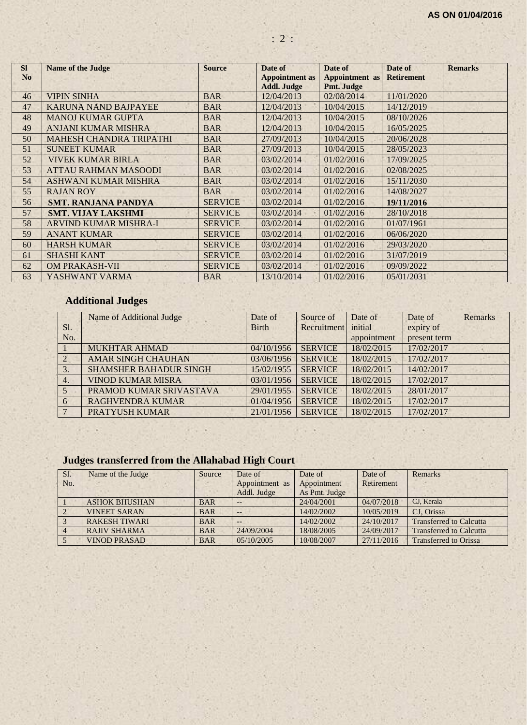| <b>SI</b><br>N <sub>o</sub> | <b>Name of the Judge</b>       | <b>Source</b>  | Date of<br><b>Appointment</b> as | Date of<br>Appointment as | Date of<br><b>Retirement</b> | <b>Remarks</b> |
|-----------------------------|--------------------------------|----------------|----------------------------------|---------------------------|------------------------------|----------------|
|                             |                                |                | <b>Addl. Judge</b>               | Pmt. Judge                |                              |                |
| 46                          | <b>VIPIN SINHA</b>             | <b>BAR</b>     | 12/04/2013                       | 02/08/2014                | 11/01/2020                   |                |
| 47                          | <b>KARUNA NAND BAJPAYEE</b>    | <b>BAR</b>     | 12/04/2013                       | 10/04/2015                | 14/12/2019                   |                |
| 48                          | <b>MANOJ KUMAR GUPTA</b>       | <b>BAR</b>     | 12/04/2013                       | 10/04/2015                | 08/10/2026                   |                |
| 49                          | <b>ANJANI KUMAR MISHRA</b>     | <b>BAR</b>     | 12/04/2013                       | 10/04/2015                | 16/05/2025                   |                |
| 50                          | <b>MAHESH CHANDRA TRIPATHI</b> | <b>BAR</b>     | 27/09/2013                       | 10/04/2015                | 20/06/2028                   |                |
| 51                          | <b>SUNEET KUMAR</b>            | <b>BAR</b>     | 27/09/2013                       | 10/04/2015                | 28/05/2023                   |                |
| 52                          | VIVEK KUMAR BIRLA              | <b>BAR</b>     | 03/02/2014                       | 01/02/2016                | 17/09/2025                   |                |
| 53                          | <b>ATTAU RAHMAN MASOODI</b>    | <b>BAR</b>     | 03/02/2014                       | 01/02/2016                | 02/08/2025                   |                |
| 54                          | ASHWANI KUMAR MISHRA           | <b>BAR</b>     | 03/02/2014                       | 01/02/2016                | 15/11/2030                   |                |
| 55                          | <b>RAJAN ROY</b>               | <b>BAR</b>     | 03/02/2014                       | 01/02/2016                | 14/08/2027                   |                |
| 56                          | <b>SMT. RANJANA PANDYA</b>     | <b>SERVICE</b> | 03/02/2014                       | 01/02/2016                | 19/11/2016                   |                |
| 57                          | <b>SMT. VIJAY LAKSHMI</b>      | <b>SERVICE</b> | 03/02/2014                       | 01/02/2016                | 28/10/2018                   |                |
| 58                          | <b>ARVIND KUMAR MISHRA-I</b>   | <b>SERVICE</b> | 03/02/2014                       | 01/02/2016                | 01/07/1961                   |                |
| 59                          | <b>ANANT KUMAR</b>             | <b>SERVICE</b> | 03/02/2014                       | 01/02/2016                | 06/06/2020                   |                |
| 60                          | <b>HARSH KUMAR</b>             | <b>SERVICE</b> | 03/02/2014                       | 01/02/2016                | 29/03/2020                   |                |
| 61                          | <b>SHASHI KANT</b>             | <b>SERVICE</b> | 03/02/2014                       | 01/02/2016                | 31/07/2019                   |                |
| 62                          | <b>OM PRAKASH-VII</b>          | <b>SERVICE</b> | 03/02/2014                       | 01/02/2016                | 09/09/2022                   |                |
| 63                          | YASHWANT VARMA                 | <b>BAR</b>     | 13/10/2014                       | 01/02/2016                | 05/01/2031                   |                |

# **Additional Judges**

 $\lambda \rightarrow \lambda$ 

|     | Name of Additional Judge      | Date of      | Source of      | Date of     | Date of      | Remarks |
|-----|-------------------------------|--------------|----------------|-------------|--------------|---------|
| S1. |                               | <b>Birth</b> | Recruitment    | initial     | expiry of    |         |
| No. |                               |              |                | appointment | present term |         |
|     | <b>MUKHTAR AHMAD</b>          | 04/10/1956   | <b>SERVICE</b> | 18/02/2015  | 17/02/2017   |         |
|     | <b>AMAR SINGH CHAUHAN</b>     | 03/06/1956   | <b>SERVICE</b> | 18/02/2015  | 17/02/2017   |         |
| 3.  | <b>SHAMSHER BAHADUR SINGH</b> | 15/02/1955   | <b>SERVICE</b> | 18/02/2015  | 14/02/2017   |         |
| 4.  | <b>VINOD KUMAR MISRA</b>      | 03/01/1956   | <b>SERVICE</b> | 18/02/2015  | 17/02/2017   |         |
| 5   | PRAMOD KUMAR SRIVASTAVA       | 29/01/1955   | <b>SERVICE</b> | 18/02/2015  | 28/01/2017   |         |
| 6   | <b>RAGHVENDRA KUMAR</b>       | 01/04/1956   | <b>SERVICE</b> | 18/02/2015  | 17/02/2017   |         |
|     | PRATYUSH KUMAR                | 21/01/1956   | <b>SERVICE</b> | 18/02/2015  | 17/02/2017   |         |

# **Judges transferred from the Allahabad High Court**

(6)

| Sl. | Name of the Judge    | Source     | Date of           | Date of       | Date of    | Remarks                        |
|-----|----------------------|------------|-------------------|---------------|------------|--------------------------------|
| No. |                      |            | Appointment as    | Appointment   | Retirement |                                |
|     |                      |            | Addl. Judge       | As Pmt. Judge |            |                                |
|     | <b>ASHOK BHUSHAN</b> | <b>BAR</b> | $--$              | 24/04/2001    | 04/07/2018 | CJ. Kerala                     |
|     | <b>VINEET SARAN</b>  | <b>BAR</b> | $--$              | 14/02/2002    | 10/05/2019 | CJ. Orissa                     |
|     | <b>RAKESH TIWARI</b> | <b>BAR</b> | $\qquad \qquad -$ | 14/02/2002    | 24/10/2017 | <b>Transferred to Calcutta</b> |
|     | <b>RAJIV SHARMA</b>  | <b>BAR</b> | 24/09/2004        | 18/08/2005    | 24/09/2017 | <b>Transferred to Calcutta</b> |
|     | <b>VINOD PRASAD</b>  | <b>BAR</b> | 05/10/2005        | 10/08/2007    | 27/11/2016 | <b>Transferred to Orissa</b>   |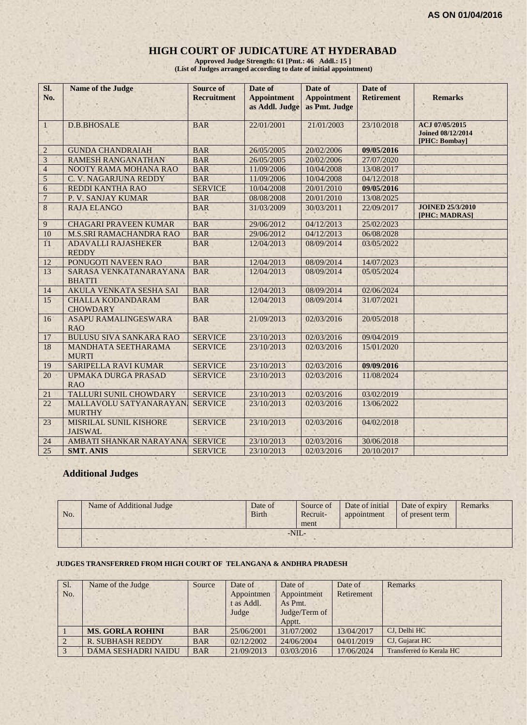## **HIGH COURT OF JUDICATURE AT HYDERABAD**

**Approved Judge Strength: 61 [Pmt.: 46 Addl.: 15 ] (List of Judges arranged according to date of initial appointment)**

| SI.<br>No.     | Name of the Judge                           | <b>Source of</b><br><b>Recruitment</b> | Date of<br><b>Appointment</b><br>as Addl. Judge | Date of<br><b>Appointment</b><br>as Pmt. Judge | Date of<br><b>Retirement</b> | <b>Remarks</b>                                              |
|----------------|---------------------------------------------|----------------------------------------|-------------------------------------------------|------------------------------------------------|------------------------------|-------------------------------------------------------------|
| 1              | <b>D.B.BHOSALE</b>                          | <b>BAR</b>                             | 22/01/2001                                      | 21/01/2003                                     | 23/10/2018                   | ACJ 07/05/2015<br><b>Joined 08/12/2014</b><br>[PHC: Bombay] |
| $\overline{2}$ | <b>GUNDA CHANDRAIAH</b>                     | <b>BAR</b>                             | 26/05/2005                                      | 20/02/2006                                     | 09/05/2016                   |                                                             |
| $\overline{3}$ | <b>RAMESH RANGANATHAN</b>                   | <b>BAR</b>                             | 26/05/2005                                      | 20/02/2006                                     | 27/07/2020                   |                                                             |
| $\overline{4}$ | <b>NOOTY RAMA MOHANA RAO</b>                | <b>BAR</b>                             | 11/09/2006                                      | 10/04/2008                                     | 13/08/2017                   |                                                             |
| $\sqrt{5}$     | C. V. NAGARJUNA REDDY                       | <b>BAR</b>                             | 11/09/2006                                      | 10/04/2008                                     | 04/12/2018                   |                                                             |
| 6              | REDDI KANTHA RAO                            | <b>SERVICE</b>                         | 10/04/2008                                      | 20/01/2010                                     | 09/05/2016                   |                                                             |
| $\overline{7}$ | P. V. SANJAY KUMAR                          | <b>BAR</b>                             | 08/08/2008                                      | 20/01/2010                                     | 13/08/2025                   |                                                             |
| $\,8\,$        | <b>RAJA ELANGO</b>                          | <b>BAR</b>                             | 31/03/2009                                      | 30/03/2011                                     | 22/09/2017                   | <b>JOINED 25/3/2010</b><br>[PHC: MADRAS]                    |
| 9              | <b>CHAGARI PRAVEEN KUMAR</b>                | <b>BAR</b>                             | 29/06/2012                                      | 04/12/2013                                     | 25/02/2023                   |                                                             |
| 10             | <b>M.S.SRI RAMACHANDRA RAO</b>              | <b>BAR</b>                             | 29/06/2012                                      | 04/12/2013                                     | 06/08/2028                   |                                                             |
| 11             | <b>ADAVALLI RAJASHEKER</b><br><b>REDDY</b>  | <b>BAR</b>                             | 12/04/2013                                      | 08/09/2014                                     | 03/05/2022                   |                                                             |
| 12             | PONUGOTI NAVEEN RAO                         | <b>BAR</b>                             | 12/04/2013                                      | 08/09/2014                                     | 14/07/2023                   |                                                             |
| 13             | SARASA VENKATANARAYANA<br><b>BHATTI</b>     | <b>BAR</b>                             | 12/04/2013                                      | 08/09/2014                                     | 05/05/2024                   |                                                             |
| 14             | <b>AKULA VENKATA SESHA SAI</b>              | <b>BAR</b>                             | 12/04/2013                                      | 08/09/2014                                     | 02/06/2024                   |                                                             |
| 15             | <b>CHALLA KODANDARAM</b><br><b>CHOWDARY</b> | <b>BAR</b>                             | 12/04/2013                                      | 08/09/2014                                     | 31/07/2021                   |                                                             |
| 16             | ASAPU RAMALINGESWARA<br><b>RAO</b>          | <b>BAR</b>                             | 21/09/2013                                      | 02/03/2016                                     | 20/05/2018                   |                                                             |
| 17             | <b>BULUSU SIVA SANKARA RAO</b>              | <b>SERVICE</b>                         | 23/10/2013                                      | 02/03/2016                                     | 09/04/2019                   |                                                             |
| 18             | MANDHATA SEETHARAMA<br><b>MURTI</b>         | <b>SERVICE</b>                         | 23/10/2013                                      | 02/03/2016                                     | 15/01/2020                   |                                                             |
| 19             | <b>SARIPELLA RAVI KUMAR</b>                 | <b>SERVICE</b>                         | 23/10/2013                                      | 02/03/2016                                     | 09/09/2016                   |                                                             |
| 20             | <b>UPMAKA DURGA PRASAD</b><br><b>RAO</b>    | <b>SERVICE</b>                         | 23/10/2013                                      | 02/03/2016                                     | 11/08/2024                   |                                                             |
| 21             | <b>TALLURI SUNIL CHOWDARY</b>               | <b>SERVICE</b>                         | 23/10/2013                                      | 02/03/2016                                     | 03/02/2019                   |                                                             |
| 22             | MALLAVOLU SATYANARAYAN.<br><b>MURTHY</b>    | <b>SERVICE</b>                         | 23/10/2013                                      | 02/03/2016                                     | 13/06/2022                   |                                                             |
| 23             | MISRILAL SUNIL KISHORE<br><b>JAISWAL</b>    | <b>SERVICE</b>                         | 23/10/2013                                      | 02/03/2016                                     | 04/02/2018                   |                                                             |
| 24             | AMBATI SHANKAR NARAYANA                     | <b>SERVICE</b>                         | 23/10/2013                                      | 02/03/2016                                     | 30/06/2018                   |                                                             |
| 25             | <b>SMT. ANIS</b>                            | <b>SERVICE</b>                         | 23/10/2013                                      | 02/03/2016                                     | 20/10/2017                   |                                                             |

#### **Additional Judges**

| No. | Name of Additional Judge | Date of<br><b>Birth</b> | Source of<br>Recruit-<br>ment | Date of initial<br>appointment | Date of expiry<br>of present term | Remarks |
|-----|--------------------------|-------------------------|-------------------------------|--------------------------------|-----------------------------------|---------|
|     |                          |                         | $-NIL$                        |                                |                                   |         |

#### **JUDGES TRANSFERRED FROM HIGH COURT OF TELANGANA & ANDHRA PRADESH**

| Sl.<br>No. | Name of the Judge          | Source     | Date of<br>Appointmen<br>t as Addl.<br>Judge | Date of<br>Appointment<br>As Pmt.<br>Judge/Term of<br>Apptt. | Date of<br>Retirement | <b>Remarks</b>           |
|------------|----------------------------|------------|----------------------------------------------|--------------------------------------------------------------|-----------------------|--------------------------|
|            | <b>MS. GORLA ROHINI</b>    | <b>BAR</b> | 25/06/2001                                   | 31/07/2002                                                   | 13/04/2017            | CJ. Delhi HC             |
|            | <b>R. SUBHASH REDDY</b>    | <b>BAR</b> | 02/12/2002                                   | 24/06/2004                                                   | 04/01/2019            | CJ, Gujarat HC           |
|            | <b>DAMA SESHADRI NAIDU</b> | <b>BAR</b> | 21/09/2013                                   | 03/03/2016                                                   | 17/06/2024            | Transferred to Kerala HC |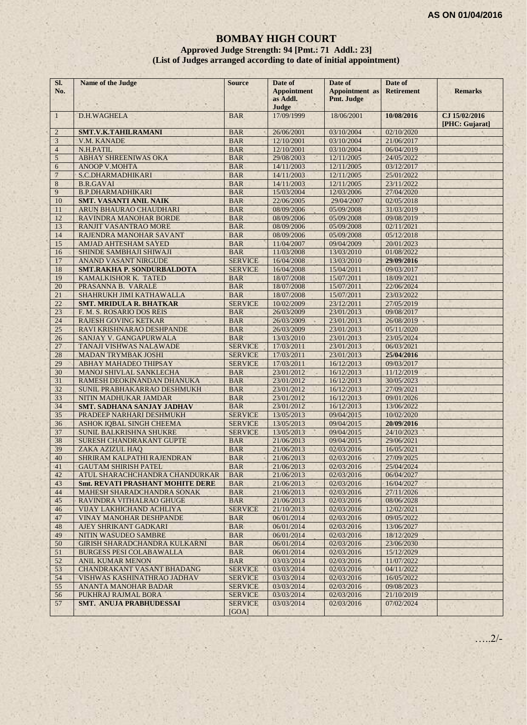# **BOMBAY HIGH COURT**

**Approved Judge Strength: 94 [Pmt.: 71 Addl.: 23] (List of Judges arranged according to date of initial appointment)**

| SI.<br>No.     | Name of the Judge                                          | <b>Source</b>                    | Date of<br><b>Appointment</b> | Date of<br><b>Appointment</b> as | Date of<br><b>Retirement</b> | <b>Remarks</b>                  |
|----------------|------------------------------------------------------------|----------------------------------|-------------------------------|----------------------------------|------------------------------|---------------------------------|
|                |                                                            |                                  | as Addl.<br>Judge             | Pmt. Judge                       |                              |                                 |
| $\mathbf{1}$   | D.H.WAGHELA                                                | <b>BAR</b>                       | 17/09/1999                    | 18/06/2001                       | 10/08/2016                   | CJ 15/02/2016<br>[PHC: Gujarat] |
| $\overline{2}$ | SMT.V.K.TAHILRAMANI                                        | <b>BAR</b>                       | 26/06/2001                    | 03/10/2004<br>×.                 | 02/10/2020                   |                                 |
| $\overline{3}$ | V.M. KANADE                                                | <b>BAR</b>                       | 12/10/2001                    | 03/10/2004                       | 21/06/2017                   |                                 |
| $\overline{4}$ | N.H.PATIL                                                  | <b>BAR</b>                       | 12/10/2001                    | 03/10/2004                       | 06/04/2019                   |                                 |
| 5              | ABHAY SHREENIWAS OKA                                       | <b>BAR</b>                       | 29/08/2003                    | 12/11/2005                       | 24/05/2022                   |                                 |
| 6              | <b>ANOOP V.MOHTA</b>                                       | <b>BAR</b>                       | 14/11/2003                    | 12/11/2005                       | 03/12/2017                   |                                 |
| $\overline{7}$ | S.C.DHARMADHIKARI                                          | <b>BAR</b>                       | 14/11/2003                    | 12/11/2005                       | 25/01/2022                   |                                 |
| 8              | <b>B.R.GAVAI</b>                                           | <b>BAR</b>                       | 14/11/2003                    | 12/11/2005                       | 23/11/2022                   |                                 |
| 9              | <b>B.P.DHARMADHIKARI</b>                                   | <b>BAR</b>                       | 15/03/2004                    | 12/03/2006                       | 27/04/2020                   |                                 |
| 10             | <b>SMT. VASANTI ANIL NAIK</b>                              | <b>BAR</b>                       | 22/06/2005                    | 29/04/2007                       | 02/05/2018                   |                                 |
| 11             | ARUN BHAURAO CHAUDHARI                                     | <b>BAR</b>                       | 08/09/2006                    | 05/09/2008                       | 31/03/2019                   |                                 |
| 12             | RAVINDRA MANOHAR BORDE                                     | <b>BAR</b>                       | 08/09/2006                    | 05/09/2008                       | 09/08/2019                   |                                 |
| 13             | <b>RANJIT VASANTRAO MORE</b>                               | <b>BAR</b>                       | 08/09/2006                    | 05/09/2008                       | 02/11/2021                   |                                 |
| 14             | RAJENDRA MANOHAR SAVANT                                    | <b>BAR</b>                       | 08/09/2006                    | 05/09/2008                       | 05/12/2018                   |                                 |
| 15             | <b>AMJAD AHTESHAM SAYED</b>                                | <b>BAR</b>                       | 11/04/2007                    | 09/04/2009                       | 20/01/2023                   |                                 |
| 16             | SHINDE SAMBHAJI SHIWAJI                                    | <b>BAR</b>                       | 11/03/2008                    | 13/03/2010                       | 01/08/2022                   |                                 |
| 17             | <b>ANAND VASANT NIRGUDE</b>                                | <b>SERVICE</b>                   | 16/04/2008                    | 13/03/2010                       | 29/09/2016                   |                                 |
| 18             | <b>SMT.RAKHA P. SONDURBALDOTA</b>                          | <b>SERVICE</b>                   | 16/04/2008                    | 15/04/2011                       | 09/03/2017                   |                                 |
| 19             | KAMALKISHOR K. TATED                                       | <b>BAR</b>                       | 18/07/2008                    | 15/07/2011                       | 18/09/2021                   |                                 |
| 20             | PRASANNA B. VARALE                                         | <b>BAR</b>                       | 18/07/2008                    | 15/07/2011                       | 22/06/2024                   |                                 |
| 21             | SHAHRUKH JIMI KATHAWALLA                                   | <b>BAR</b>                       | 18/07/2008                    | 15/07/2011                       | 23/03/2022                   |                                 |
| 22             | <b>SMT. MRIDULA R. BHATKAR</b>                             | <b>SERVICE</b>                   | 10/02/2009                    | 23/12/2011                       | 27/05/2019                   |                                 |
| 23             | F. M. S. ROSARIO DOS REIS                                  | <b>BAR</b>                       | 26/03/2009                    | 23/01/2013                       | 09/08/2017                   |                                 |
| 24             | <b>RAJESH GOVING KETKAR</b>                                | <b>BAR</b>                       | 26/03/2009                    | 23/01/2013                       | 26/08/2019                   |                                 |
| 25             | RAVI KRISHNARAO DESHPANDE                                  | <b>BAR</b>                       | 26/03/2009                    | 23/01/2013                       | 05/11/2020                   |                                 |
| 26             | SANJAY V. GANGAPURWALA                                     | <b>BAR</b>                       | 13/03/2010                    | 23/01/2013                       | 23/05/2024                   |                                 |
| 27             | TANAJI VISHWAS NALAWADE                                    | <b>SERVICE</b>                   | 17/03/2011                    | 23/01/2013                       | 06/03/2021                   |                                 |
| 28             | <b>MADAN TRYMBAK JOSHI</b>                                 | <b>SERVICE</b>                   | 17/03/2011                    | 23/01/2013                       | 25/04/2016                   |                                 |
| 29             | ABHAY MAHADEO THIPSAY                                      | <b>SERVICE</b>                   | 17/03/2011                    | 16/12/2013                       | 09/03/2017                   |                                 |
| 30             | MANOJ SHIVLAL SANKLECHA                                    | <b>BAR</b>                       | 23/01/2012                    | 16/12/2013                       | 11/12/2019                   |                                 |
| 31             | RAMESH DEOKINANDAN DHANUKA                                 | <b>BAR</b>                       | 23/01/2012                    | 16/12/2013                       | 30/05/2023                   |                                 |
| 32             | SUNIL PRABHAKARRAO DESHMUKH                                | <b>BAR</b>                       | 23/01/2012                    | 16/12/2013                       | 27/09/2021                   |                                 |
| 33             | NITIN MADHUKAR JAMDAR                                      | <b>BAR</b>                       | 23/01/2012                    | 16/12/2013                       | 09/01/2026                   |                                 |
| 34             | <b>SMT. SADHANA SANJAY JADHAV</b>                          | <b>BAR</b>                       | 23/01/2012                    | 16/12/2013                       | 13/06/2022                   |                                 |
| 35             | PRADEEP NARHARI DESHMUKH                                   | <b>SERVICE</b>                   | 13/05/2013                    | 09/04/2015                       | 10/02/2020                   |                                 |
| 36             | ASHOK IQBAL SINGH CHEEMA                                   | <b>SERVICE</b>                   | 13/05/2013                    | 09/04/2015                       | 20/09/2016                   |                                 |
| 37             | <b>SUNIL BALKRISHNA SHUKRE</b>                             | <b>SERVICE</b>                   | 13/05/2013                    | 09/04/2015                       | 24/10/2023                   |                                 |
| 38             | SURESH CHANDRAKANT GUPTE                                   | <b>BAR</b>                       | 21/06/2013                    | 09/04/2015                       | 29/06/2021                   |                                 |
| 39             | ZAKA AZIZUL HAQ                                            | <b>BAR</b>                       | 21/06/2013                    | 02/03/2016                       | 16/05/2021                   |                                 |
| 40             | SHRIRAM KALPATHI RAJENDRAN                                 | <b>BAR</b>                       | 21/06/2013                    | 02/03/2016                       | 27/09/2025                   |                                 |
| 41             | <b>GAUTAM SHIRISH PATEL</b>                                | <b>BAR</b>                       | 21/06/2013                    | 02/03/2016                       | 25/04/2024                   |                                 |
| 42             | ATUL SHARACHCHANDRA CHANDURKAR                             | <b>BAR</b>                       | 21/06/2013                    | 02/03/2016                       | 06/04/2027                   |                                 |
| 43             | <b>Smt. REVATI PRASHANT MOHITE DERE</b>                    | <b>BAR</b>                       | 21/06/2013                    | 02/03/2016                       | 16/04/2027                   |                                 |
| 44             | MAHESH SHARADCHANDRA SONAK                                 | <b>BAR</b>                       | 21/06/2013                    | 02/03/2016                       | 27/11/2026<br>08/06/2028     |                                 |
| 45             | RAVINDRA VITHALRAO GHUGE                                   | <b>BAR</b>                       | 21/06/2013                    | 02/03/2016                       |                              |                                 |
| 46             | VIJAY LAKHICHAND ACHLIYA<br><b>VINAY MANOHAR DESHPANDE</b> | <b>SERVICE</b>                   | 21/10/2013                    | 02/03/2016                       | 12/02/2021<br>09/05/2022     |                                 |
| 47             |                                                            | <b>BAR</b>                       | 06/01/2014                    | 02/03/2016                       |                              |                                 |
| 48             | AJEY SHRIKANT GADKARI                                      | <b>BAR</b>                       | 06/01/2014                    | 02/03/2016                       | 13/06/2027                   |                                 |
| 49             | NITIN WASUDEO SAMBRE                                       | <b>BAR</b>                       | 06/01/2014                    | 02/03/2016                       | 18/12/2029                   |                                 |
| 50             | GIRISH SHARADCHANDRA KULKARNI                              | <b>BAR</b>                       | 06/01/2014                    | 02/03/2016                       | 23/06/2030                   |                                 |
| 51             | <b>BURGESS PESI COLABAWALLA</b>                            | <b>BAR</b>                       | 06/01/2014                    | 02/03/2016                       | 15/12/2029                   |                                 |
| 52             | <b>ANIL KUMAR MENON</b>                                    | <b>BAR</b>                       | 03/03/2014                    | 02/03/2016                       | 11/07/2022                   |                                 |
| 53             | <b>CHANDRAKANT VASANT BHADANG</b>                          | <b>SERVICE</b>                   | 03/03/2014                    | 02/03/2016                       | 04/11/2022                   |                                 |
| 54<br>55       | VISHWAS KASHINATHRAO JADHAV<br><b>ANANTA MANOHAR BADAR</b> | <b>SERVICE</b><br><b>SERVICE</b> | 03/03/2014<br>03/03/2014      | 02/03/2016<br>02/03/2016         | 16/05/2022<br>09/08/2023     |                                 |
| 56             | PUKHRAJ RAJMAL BORA                                        | <b>SERVICE</b>                   | 03/03/2014                    | 02/03/2016                       | 21/10/2019                   |                                 |
| 57             | SMT. ANUJA PRABHUDESSAI                                    | <b>SERVICE</b>                   | 03/03/2014                    | 02/03/2016                       | 07/02/2024                   |                                 |
|                |                                                            | [GOA]                            |                               |                                  |                              |                                 |

…..2/-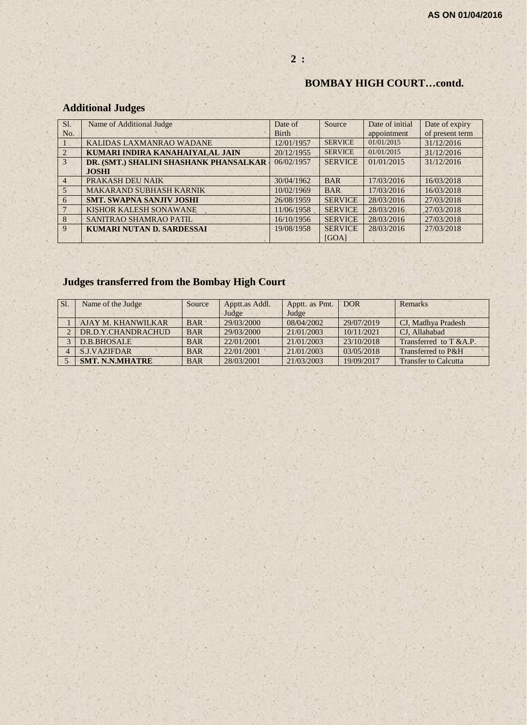# **BOMBAY HIGH COURT…contd.**

# **Additional Judges**

| S <sub>1</sub> | Name of Additional Judge               | Date of      | Source         | Date of initial | Date of expiry  |
|----------------|----------------------------------------|--------------|----------------|-----------------|-----------------|
| No.            |                                        | <b>Birth</b> |                | appointment     | of present term |
|                | KALIDAS LAXMANRAO WADANE               | 12/01/1957   | <b>SERVICE</b> | 01/01/2015      | 31/12/2016      |
| $\mathfrak{D}$ | KUMARI INDIRA KANAHAIYALAL JAIN        | 20/12/1955   | <b>SERVICE</b> | 01/01/2015      | 31/12/2016      |
| $\mathcal{R}$  | DR. (SMT.) SHALINI SHASHANK PHANSALKAR | 06/02/1957   | <b>SERVICE</b> | 01/01/2015      | 31/12/2016      |
|                | <b>JOSHI</b>                           |              |                |                 |                 |
| $\overline{4}$ | <b>PRAKASH DEU NAIK</b>                | 30/04/1962   | <b>BAR</b>     | 17/03/2016      | 16/03/2018      |
| $\overline{5}$ | <b>MAKARAND SUBHASH KARNIK</b>         | 10/02/1969   | <b>BAR</b>     | 17/03/2016      | 16/03/2018      |
| 6              | <b>SMT. SWAPNA SANJIV JOSHI</b>        | 26/08/1959   | <b>SERVICE</b> | 28/03/2016      | 27/03/2018      |
|                | KISHOR KALESH SONAWANE                 | 11/06/1958   | <b>SERVICE</b> | 28/03/2016      | 27/03/2018      |
| 8              | SANITRAO SHAMRAO PATIL                 | 16/10/1956   | <b>SERVICE</b> | 28/03/2016      | 27/03/2018      |
| 9              | <b>KUMARI NUTAN D. SARDESSAI</b>       | 19/08/1958   | <b>SERVICE</b> | 28/03/2016      | 27/03/2018      |
|                |                                        |              | [GOA]          |                 |                 |

**2 :**

 $\ddot{x}$ 

# **Judges transferred from the Bombay High Court**

| Sl. | Name of the Judge      | Source     | Apptt.as Addl. | Apptt. as Pmt. | DOR <sub>1</sub> | <b>Remarks</b>              |
|-----|------------------------|------------|----------------|----------------|------------------|-----------------------------|
|     |                        |            | Judge          | Judge          |                  |                             |
|     | AJAY M. KHANWILKAR     | <b>BAR</b> | 29/03/2000     | 08/04/2002     | 29/07/2019       | CJ. Madhya Pradesh          |
|     | DR.D.Y.CHANDRACHUD     | <b>BAR</b> | 29/03/2000     | 21/01/2003     | 10/11/2021       | CJ. Allahabad               |
|     | D.B.BHOSALE            | <b>BAR</b> | 22/01/2001     | 21/01/2003     | 23/10/2018       | Transferred to T &A.P.      |
|     | <b>S.J.VAZIFDAR</b>    | <b>BAR</b> | 22/01/2001     | 21/01/2003     | 03/05/2018       | Transferred to P&H          |
|     | <b>SMT. N.N.MHATRE</b> | <b>BAR</b> | 28/03/2001     | 21/03/2003     | 19/09/2017       | <b>Transfer to Calcutta</b> |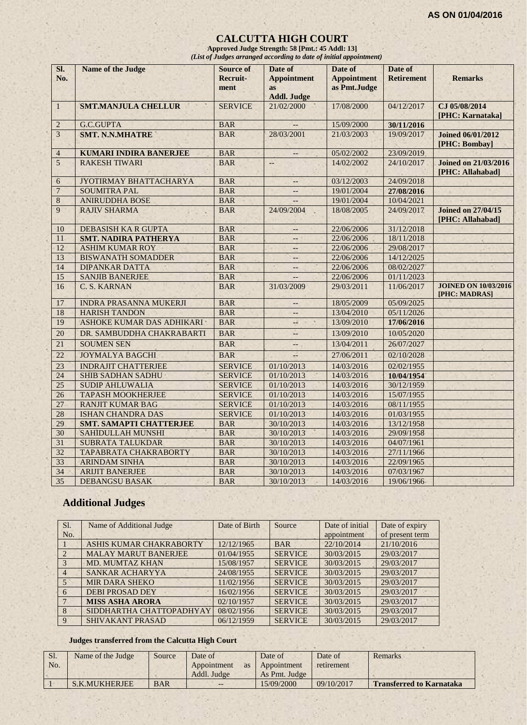#### **CALCUTTA HIGH COURT**

**Approved Judge Strength: 58 [Pmt.: 45 Addl: 13]** *(List of Judges arranged according to date of initial appointment)*

| SI.<br>No.      | <b>Name of the Judge</b>       | <b>Source of</b><br>Recruit-<br>ment | Date of<br><b>Appointment</b><br><b>as</b><br><b>Addl. Judge</b> | Date of<br><b>Appointment</b><br>as Pmt.Judge | Date of<br><b>Retirement</b> | <b>Remarks</b>                                  |
|-----------------|--------------------------------|--------------------------------------|------------------------------------------------------------------|-----------------------------------------------|------------------------------|-------------------------------------------------|
| $\mathbf{1}$    | <b>SMT.MANJULA CHELLUR</b>     | <b>SERVICE</b>                       | 21/02/2000                                                       | 17/08/2000                                    | 04/12/2017                   | CJ 05/08/2014<br>[PHC: Karnataka]               |
| $\overline{2}$  | <b>G.C.GUPTA</b>               | <b>BAR</b>                           |                                                                  | 15/09/2000                                    | 30/11/2016                   |                                                 |
| 3               | <b>SMT. N.N.MHATRE</b>         | <b>BAR</b>                           | 28/03/2001                                                       | 21/03/2003                                    | 19/09/2017                   | <b>Joined 06/01/2012</b><br>[PHC: Bombay]       |
| $\overline{4}$  | <b>KUMARI INDIRA BANERJEE</b>  | <b>BAR</b>                           | $--$                                                             | 05/02/2002                                    | 23/09/2019                   |                                                 |
| $\overline{5}$  | <b>RAKESH TIWARI</b>           | <b>BAR</b>                           | u,                                                               | 14/02/2002                                    | 24/10/2017                   | <b>Joined on 21/03/2016</b><br>[PHC: Allahabad] |
| 6               | JYOTIRMAY BHATTACHARYA         | <b>BAR</b>                           | $-$                                                              | 03/12/2003                                    | 24/09/2018                   |                                                 |
| $\overline{7}$  | <b>SOUMITRA PAL</b>            | <b>BAR</b>                           |                                                                  | 19/01/2004                                    | 27/08/2016                   |                                                 |
| $\,8\,$         | <b>ANIRUDDHA BOSE</b>          | <b>BAR</b>                           |                                                                  | 19/01/2004                                    | 10/04/2021                   |                                                 |
| 9               | <b>RAJIV SHARMA</b>            | <b>BAR</b>                           | 24/09/2004                                                       | 18/08/2005                                    | 24/09/2017                   | <b>Joined on 27/04/15</b><br>[PHC: Allahabad]   |
| 10              | <b>DEBASISH KAR GUPTA</b>      | <b>BAR</b>                           | $- -$                                                            | 22/06/2006                                    | 31/12/2018                   |                                                 |
| 11              | <b>SMT. NADIRA PATHERYA</b>    | <b>BAR</b>                           | $-$                                                              | 22/06/2006                                    | 18/11/2018                   |                                                 |
| 12              | <b>ASHIM KUMAR ROY</b>         | <b>BAR</b>                           |                                                                  | 22/06/2006                                    | 29/08/2017                   |                                                 |
| 13              | <b>BISWANATH SOMADDER</b>      | <b>BAR</b>                           | $\overline{\phantom{a}}$                                         | 22/06/2006                                    | 14/12/2025                   |                                                 |
| 14              | <b>DIPANKAR DATTA</b>          | <b>BAR</b>                           | $\qquad \qquad -$                                                | 22/06/2006                                    | 08/02/2027                   |                                                 |
| 15              | <b>SANJIB BANERJEE</b>         | <b>BAR</b>                           |                                                                  | 22/06/2006                                    | 01/11/2023                   |                                                 |
| 16              | C. S. KARNAN                   | <b>BAR</b>                           | 31/03/2009                                                       | 29/03/2011                                    | 11/06/2017                   | <b>JOINED ON 10/03/2016</b><br>[PHC: MADRAS]    |
| 17              | <b>INDRA PRASANNA MUKERJI</b>  | <b>BAR</b>                           | $\overline{\phantom{a}}$                                         | 18/05/2009                                    | 05/09/2025                   |                                                 |
| 18              | <b>HARISH TANDON</b>           | <b>BAR</b>                           | $-$                                                              | 13/04/2010                                    | 05/11/2026                   |                                                 |
| 19              | ASHOKE KUMAR DAS ADHIKARI      | <b>BAR</b>                           | u.                                                               | 13/09/2010                                    | 17/06/2016                   |                                                 |
| 20              | DR. SAMBUDDHA CHAKRABARTI      | <b>BAR</b>                           | c.                                                               | 13/09/2010                                    | 10/05/2020                   |                                                 |
| 21              | <b>SOUMEN SEN</b>              | <b>BAR</b>                           | $-$                                                              | 13/04/2011                                    | 26/07/2027                   |                                                 |
| $\overline{22}$ | <b>JOYMALYA BAGCHI</b>         | <b>BAR</b>                           |                                                                  | 27/06/2011                                    | 02/10/2028                   |                                                 |
| $\overline{23}$ | <b>INDRAJIT CHATTERJEE</b>     | <b>SERVICE</b>                       | 01/10/2013                                                       | 14/03/2016                                    | 02/02/1955                   |                                                 |
| 24              | <b>SHIB SADHAN SADHU</b>       | <b>SERVICE</b>                       | 01/10/2013                                                       | 14/03/2016                                    | 10/04/1954                   |                                                 |
| $\overline{25}$ | <b>SUDIP AHLUWALIA</b>         | <b>SERVICE</b>                       | 01/10/2013                                                       | 14/03/2016                                    | 30/12/1959                   |                                                 |
| $\overline{26}$ | <b>TAPASH MOOKHERJEE</b>       | <b>SERVICE</b>                       | 01/10/2013                                                       | 14/03/2016                                    | 15/07/1955                   |                                                 |
| 27              | <b>RANJIT KUMAR BAG</b>        | <b>SERVICE</b>                       | 01/10/2013                                                       | 14/03/2016                                    | 08/11/1955                   |                                                 |
| 28              | <b>ISHAN CHANDRA DAS</b>       | <b>SERVICE</b>                       | 01/10/2013                                                       | 14/03/2016                                    | 01/03/1955                   |                                                 |
| 29              | <b>SMT. SAMAPTI CHATTERJEE</b> | <b>BAR</b>                           | 30/10/2013                                                       | 14/03/2016                                    | 13/12/1958                   |                                                 |
| $\overline{30}$ | <b>SAHIDULLAH MUNSHI</b>       | <b>BAR</b>                           | 30/10/2013                                                       | 14/03/2016                                    | 29/09/1958                   |                                                 |
| 31              | <b>SUBRATA TALUKDAR</b>        | <b>BAR</b>                           | 30/10/2013                                                       | 14/03/2016                                    | 04/07/1961                   |                                                 |
| 32              | TAPABRATA CHAKRABORTY          | <b>BAR</b>                           | 30/10/2013                                                       | 14/03/2016                                    | 27/11/1966                   |                                                 |
| 33              | <b>ARINDAM SINHA</b>           | <b>BAR</b>                           | 30/10/2013                                                       | 14/03/2016                                    | 22/09/1965                   |                                                 |
| 34              | <b>ARIJIT BANERJEE</b>         | <b>BAR</b>                           | 30/10/2013                                                       | 14/03/2016                                    | 07/03/1967                   |                                                 |
| 35              | <b>DEBANGSU BASAK</b>          | <b>BAR</b>                           | 30/10/2013                                                       | 14/03/2016                                    | 19/06/1966                   |                                                 |

# **Additional Judges**

| Sl.            | Name of Additional Judge    | Date of Birth | Source         | Date of initial | Date of expiry  |
|----------------|-----------------------------|---------------|----------------|-----------------|-----------------|
| No.            |                             |               |                | appointment     | of present term |
|                | ASHIS KUMAR CHAKRABORTY     | 12/12/1965    | <b>BAR</b>     | 22/10/2014      | 21/10/2016      |
| $\mathcal{D}$  | <b>MALAY MARUT BANERJEE</b> | 01/04/1955    | <b>SERVICE</b> | 30/03/2015      | 29/03/2017      |
| $\mathcal{R}$  | MD. MUMTAZ KHAN             | 15/08/1957    | <b>SERVICE</b> | 30/03/2015      | 29/03/2017      |
| $\overline{4}$ | SANKAR ACHARYYA             | 24/08/1955    | <b>SERVICE</b> | 30/03/2015      | 29/03/2017      |
| $\overline{5}$ | <b>MIR DARA SHEKO</b>       | 11/02/1956    | <b>SERVICE</b> | 30/03/2015      | 29/03/2017      |
| 6              | <b>DEBI PROSAD DEY</b>      | 16/02/1956    | <b>SERVICE</b> | 30/03/2015      | 29/03/2017      |
|                | <b>MISS ASHA ARORA</b>      | 02/10/1957    | <b>SERVICE</b> | 30/03/2015      | 29/03/2017      |
| 8              | SIDDHARTHA CHATTOPADHYAY    | 08/02/1956    | <b>SERVICE</b> | 30/03/2015      | 29/03/2017      |
| 9              | <b>SHIVAKANT PRASAD</b>     | 06/12/1959    | <b>SERVICE</b> | 30/03/2015      | 29/03/2017      |

#### **Judges transferred from the Calcutta High Court**

| Sl. | Name of the Judge | Source     | Date of           | Date of       | Date of    | <b>Remarks</b>                  |
|-----|-------------------|------------|-------------------|---------------|------------|---------------------------------|
| No. |                   |            | Appointment<br>as | Appointment   | retirement |                                 |
|     |                   |            | Addl. Judge       | As Pmt. Judge |            |                                 |
|     | S.K.MUKHERJEE     | <b>BAR</b> | $- -$             | 15/09/2000    | 09/10/2017 | <b>Transferred to Karnataka</b> |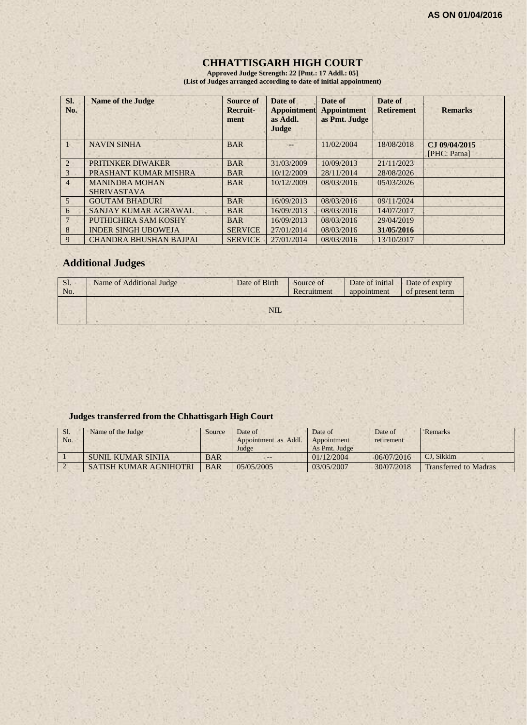# **CHHATTISGARH HIGH COURT**

**Approved Judge Strength: 22 [Pmt.: 17 Addl.: 05] (List of Judges arranged according to date of initial appointment)**

| SI.<br>No.      | <b>Name of the Judge</b>                    | Source of<br>Recruit-<br>ment | Date of<br><b>Appointment</b><br>as Addl.<br>Judge | Date of<br><b>Appointment</b><br>as Pmt. Judge | Date of<br><b>Retirement</b> | <b>Remarks</b>                |
|-----------------|---------------------------------------------|-------------------------------|----------------------------------------------------|------------------------------------------------|------------------------------|-------------------------------|
|                 | <b>NAVIN SINHA</b>                          | <b>BAR</b>                    |                                                    | 11/02/2004                                     | 18/08/2018                   | CJ 09/04/2015<br>[PHC: Patna] |
| 2               | PRITINKER DIWAKER                           | <b>BAR</b>                    | 31/03/2009                                         | 10/09/2013                                     | 21/11/2023                   |                               |
| $\overline{3}$  | PRASHANT KUMAR MISHRA                       | <b>BAR</b>                    | 10/12/2009                                         | 28/11/2014                                     | 28/08/2026                   |                               |
| $\overline{4}$  | <b>MANINDRA MOHAN</b><br><b>SHRIVASTAVA</b> | <b>BAR</b>                    | 10/12/2009                                         | 08/03/2016                                     | 05/03/2026                   |                               |
| $5\overline{)}$ | <b>GOUTAM BHADURI</b>                       | <b>BAR</b>                    | 16/09/2013                                         | 08/03/2016                                     | 09/11/2024                   |                               |
| 6               | SANJAY KUMAR AGRAWAL                        | <b>BAR</b>                    | 16/09/2013                                         | 08/03/2016                                     | 14/07/2017                   |                               |
|                 | PUTHICHIRA SAM KOSHY                        | <b>BAR</b>                    | 16/09/2013                                         | 08/03/2016                                     | 29/04/2019                   |                               |
| 8               | <b>INDER SINGH UBOWEJA</b>                  | <b>SERVICE</b>                | 27/01/2014                                         | 08/03/2016                                     | 31/05/2016                   |                               |
| 9               | <b>CHANDRA BHUSHAN BAJPAI</b>               | <b>SERVICE</b>                | 27/01/2014                                         | 08/03/2016                                     | 13/10/2017                   |                               |

# **Additional Judges**

| Sl.<br>No. | Name of Additional Judge | Date of Birth | Source of<br>Recruitment | Date of initial<br>appointment | Date of expiry<br>of present term |
|------------|--------------------------|---------------|--------------------------|--------------------------------|-----------------------------------|
|            |                          | NIL           |                          |                                |                                   |

#### **Judges transferred from the Chhattisgarh High Court**

| <b>S1.</b><br>No. | Name of the Judge             | Source     | Date of<br>Appointment as Addl.<br>Judge | Date of<br>Appointment<br>As Pmt. Judge | Date of<br>retirement | Remarks                      |
|-------------------|-------------------------------|------------|------------------------------------------|-----------------------------------------|-----------------------|------------------------------|
|                   | SUNIL KUMAR SINHA             | <b>BAR</b> | $- -$                                    | 01/12/2004                              | 06/07/2016            | CJ, Sikkim                   |
|                   | <b>SATISH KUMAR AGNIHOTRI</b> | <b>BAR</b> | 05/05/2005                               | 03/05/2007                              | 30/07/2018            | <b>Transferred to Madras</b> |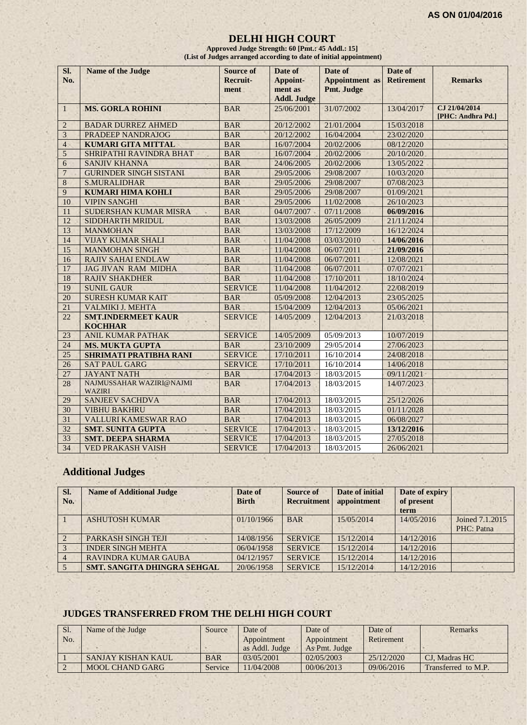#### **DELHI HIGH COURT**

**Approved Judge Strength: 60 [Pmt.: 45 Addl.: 15] (List of Judges arranged according to date of initial appointment)**

| No.<br>$\mathbf{1}$<br>$\overline{2}$ | <b>MS. GORLA ROHINI</b><br><b>BADAR DURREZ AHMED</b> | <b>Recruit-</b><br>ment<br><b>BAR</b> | Appoint-<br>ment as<br><b>Addl. Judge</b> | <b>Appointment</b> as<br>Pmt. Judge | <b>Retirement</b> | <b>Remarks</b>    |
|---------------------------------------|------------------------------------------------------|---------------------------------------|-------------------------------------------|-------------------------------------|-------------------|-------------------|
|                                       |                                                      |                                       |                                           |                                     |                   |                   |
|                                       |                                                      |                                       |                                           |                                     |                   |                   |
|                                       |                                                      |                                       |                                           | 31/07/2002                          | 13/04/2017        | CJ 21/04/2014     |
|                                       |                                                      |                                       | 25/06/2001                                |                                     |                   | [PHC: Andhra Pd.] |
|                                       |                                                      | <b>BAR</b>                            | 20/12/2002                                | 21/01/2004                          | 15/03/2018        |                   |
| 3                                     | <b>PRADEEP NANDRAJOG</b>                             | <b>BAR</b>                            | 20/12/2002                                | 16/04/2004                          | 23/02/2020        |                   |
| $\overline{4}$                        | <b>KUMARI GITA MITTAL</b>                            | <b>BAR</b>                            | 16/07/2004                                | 20/02/2006                          | 08/12/2020        |                   |
| 5                                     | SHRIPATHI RAVINDRA BHAT                              | <b>BAR</b>                            | 16/07/2004                                | 20/02/2006                          | 20/10/2020        |                   |
| 6                                     | <b>SANJIV KHANNA</b>                                 | <b>BAR</b>                            | 24/06/2005                                | 20/02/2006                          | 13/05/2022        |                   |
| $\overline{7}$                        | <b>GURINDER SINGH SISTANI</b>                        | <b>BAR</b>                            | 29/05/2006                                | 29/08/2007                          | 10/03/2020        |                   |
| 8                                     | <b>S.MURALIDHAR</b>                                  | <b>BAR</b>                            | 29/05/2006                                | 29/08/2007                          | 07/08/2023        |                   |
| 9                                     | <b>KUMARI HIMA KOHLI</b>                             | <b>BAR</b>                            | 29/05/2006                                | 29/08/2007                          | 01/09/2021        |                   |
| 10                                    | <b>VIPIN SANGHI</b>                                  | <b>BAR</b>                            | 29/05/2006                                | 11/02/2008                          | 26/10/2023        |                   |
| 11                                    | SUDERSHAN KUMAR MISRA                                | <b>BAR</b>                            | 04/07/2007                                | 07/11/2008                          | 06/09/2016        |                   |
| 12                                    | SIDDHARTH MRIDUL                                     | <b>BAR</b>                            | 13/03/2008                                | 26/05/2009                          | 21/11/2024        |                   |
| 13                                    | <b>MANMOHAN</b>                                      | <b>BAR</b>                            | 13/03/2008                                | 17/12/2009                          | 16/12/2024        |                   |
| 14                                    | <b>VIJAY KUMAR SHALI</b>                             | <b>BAR</b>                            | 11/04/2008                                | 03/03/2010                          | 14/06/2016        |                   |
| 15                                    | <b>MANMOHAN SINGH</b>                                | <b>BAR</b>                            | 11/04/2008                                | 06/07/2011                          | 21/09/2016        |                   |
| 16                                    | <b>RAJIV SAHAI ENDLAW</b>                            | <b>BAR</b>                            | 11/04/2008                                | 06/07/2011                          | 12/08/2021        |                   |
| 17                                    | <b>JAG JIVAN RAM MIDHA</b>                           | <b>BAR</b>                            | 11/04/2008                                | 06/07/2011                          | 07/07/2021        |                   |
| 18                                    | <b>RAJIV SHAKDHER</b>                                | <b>BAR</b>                            | 11/04/2008                                | 17/10/2011                          | 18/10/2024        |                   |
| 19                                    | <b>SUNIL GAUR</b>                                    | <b>SERVICE</b>                        | 11/04/2008                                | 11/04/2012                          | 22/08/2019        |                   |
| 20                                    | <b>SURESH KUMAR KAIT</b>                             | <b>BAR</b>                            | 05/09/2008                                | 12/04/2013                          | 23/05/2025        |                   |
| 21                                    | <b>VALMIKI J. MEHTA</b>                              | <b>BAR</b>                            | 15/04/2009                                | 12/04/2013                          | 05/06/2021        |                   |
| 22                                    | <b>SMT.INDERMEET KAUR</b>                            | <b>SERVICE</b>                        | 14/05/2009                                | 12/04/2013                          | 21/03/2018        |                   |
|                                       | <b>KOCHHAR</b>                                       |                                       |                                           |                                     |                   |                   |
| 23                                    | <b>ANIL KUMAR PATHAK</b>                             | <b>SERVICE</b>                        | 14/05/2009                                | 05/09/2013                          | 10/07/2019        |                   |
| 24                                    | <b>MS. MUKTA GUPTA</b>                               | <b>BAR</b>                            | 23/10/2009                                | 29/05/2014                          | 27/06/2023        |                   |
| 25                                    | <b>SHRIMATI PRATIBHA RANI</b>                        | <b>SERVICE</b>                        | 17/10/2011                                | 16/10/2014                          | 24/08/2018        |                   |
| 26                                    | <b>SAT PAUL GARG</b>                                 | <b>SERVICE</b>                        | 17/10/2011                                | 16/10/2014                          | 14/06/2018        |                   |
| 27                                    | <b>JAYANT NATH</b>                                   | <b>BAR</b>                            | 17/04/2013                                | 18/03/2015                          | 09/11/2021        |                   |
| 28                                    | NAJMUSSAHAR WAZIRI@NAJMI<br><b>WAZIRI</b>            | <b>BAR</b>                            | 17/04/2013                                | 18/03/2015                          | 14/07/2023        |                   |
| 29                                    | <b>SANJEEV SACHDVA</b>                               | <b>BAR</b>                            | 17/04/2013                                | 18/03/2015                          | 25/12/2026        |                   |
| 30                                    | <b>VIBHU BAKHRU</b>                                  | <b>BAR</b>                            | 17/04/2013                                | 18/03/2015                          | 01/11/2028        |                   |
| 31                                    | VALLURI KAMESWAR RAO                                 | <b>BAR</b>                            | 17/04/2013                                | 18/03/2015                          | 06/08/2027        |                   |
| 32                                    | <b>SMT. SUNITA GUPTA</b>                             | <b>SERVICE</b>                        | 17/04/2013                                | 18/03/2015                          | 13/12/2016        |                   |
| 33                                    | <b>SMT. DEEPA SHARMA</b>                             | <b>SERVICE</b>                        | 17/04/2013                                | 18/03/2015                          | 27/05/2018        |                   |
| 34                                    | <b>VED PRAKASH VAISH</b>                             | <b>SERVICE</b>                        | 17/04/2013                                | 18/03/2015                          | 26/06/2021        |                   |

# **Additional Judges**

| SI.<br>No.     | <b>Name of Additional Judge</b>    | Date of<br><b>Birth</b> | Source of<br><b>Recruitment</b> | Date of initial<br>appointment | Date of expiry<br>of present<br>term |                 |
|----------------|------------------------------------|-------------------------|---------------------------------|--------------------------------|--------------------------------------|-----------------|
|                | <b>ASHUTOSH KUMAR</b>              | 01/10/1966              | <b>BAR</b>                      | 15/05/2014                     | 14/05/2016                           | Joined 7.1.2015 |
|                |                                    |                         |                                 |                                |                                      | PHC: Patna      |
| $\overline{2}$ | PARKASH SINGH TEJI                 | 14/08/1956              | <b>SERVICE</b>                  | 15/12/2014                     | 14/12/2016                           |                 |
|                | <b>INDER SINGH MEHTA</b>           | 06/04/1958              | <b>SERVICE</b>                  | 15/12/2014                     | 14/12/2016                           |                 |
|                | <b>RAVINDRA KUMAR GAUBA</b>        | 04/12/1957              | <b>SERVICE</b>                  | 15/12/2014                     | 14/12/2016                           |                 |
|                | <b>SMT. SANGITA DHINGRA SEHGAL</b> | 20/06/1958              | <b>SERVICE</b>                  | 15/12/2014                     | 14/12/2016                           |                 |

## **JUDGES TRANSFERRED FROM THE DELHI HIGH COURT**

| Sl. | Name of the Judge      | Source     | Date of                    | Date of       | Date of    | Remarks             |
|-----|------------------------|------------|----------------------------|---------------|------------|---------------------|
| No. |                        |            | Appointment<br>Appointment |               | Retirement |                     |
|     |                        |            | as Addl. Judge             | As Pmt. Judge |            |                     |
|     | SANJAY KISHAN KAUL     | <b>BAR</b> | 03/05/2001                 | 02/05/2003    | 25/12/2020 | CJ. Madras HC       |
|     | <b>MOOL CHAND GARG</b> | Service    | 1/04/2008                  | 00/06/2013    | 09/06/2016 | Transferred to M.P. |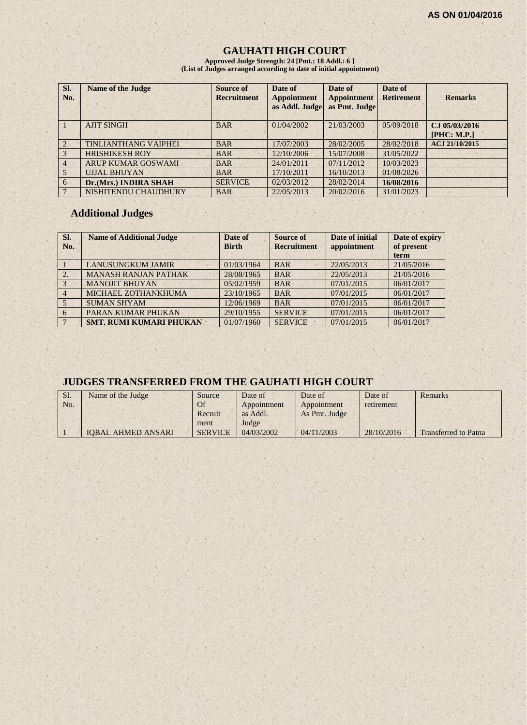# **GAUHATI HIGH COURT**

**Approved Judge Strength: 24 [Pmt.: 18 Addl.: 6 ] (List of Judges arranged according to date of initial appointment)**

| SI.<br>No.     | <b>Name of the Judge</b>    | Source of<br><b>Recruitment</b> | Date of<br><b>Appointment</b><br>as Addl. Judge | Date of<br><b>Appointment</b><br>as Pmt. Judge | Date of<br><b>Retirement</b> | <b>Remarks</b>               |
|----------------|-----------------------------|---------------------------------|-------------------------------------------------|------------------------------------------------|------------------------------|------------------------------|
|                | <b>AJIT SINGH</b>           | <b>BAR</b>                      | 01/04/2002                                      | 21/03/2003                                     | 05/09/2018                   | CJ 05/03/2016<br>[PHC: M.P.] |
| $\mathcal{L}$  | <b>TINLIANTHANG VAIPHEI</b> | <b>BAR</b>                      | 17/07/2003                                      | 28/02/2005                                     | 28/02/2018                   | ACJ 21/10/2015               |
|                | <b>HRISHIKESH ROY</b>       | <b>BAR</b>                      | 12/10/2006                                      | 15/07/2008                                     | 31/05/2022                   |                              |
| $\overline{4}$ | <b>ARUP KUMAR GOSWAMI</b>   | <b>BAR</b>                      | 24/01/2011                                      | 07/11/2012                                     | 10/03/2023                   |                              |
|                | <b>UJJAL BHUYAN</b>         | <b>BAR</b>                      | 17/10/2011                                      | 16/10/2013                                     | 01/08/2026                   |                              |
| 6              | Dr.(Mrs.) INDIRA SHAH       | <b>SERVICE</b>                  | 02/03/2012                                      | 28/02/2014                                     | 16/08/2016                   |                              |
|                | NISHITENDU CHAUDHURY        | <b>BAR</b>                      | 22/05/2013                                      | 20/02/2016                                     | 31/01/2023                   |                              |

## **Additional Judges**

| SI.<br>No.     | <b>Name of Additional Judge</b> | Date of<br><b>Birth</b> | <b>Source of</b><br><b>Recruitment</b> | Date of initial<br>appointment | Date of expiry<br>of present<br>term |
|----------------|---------------------------------|-------------------------|----------------------------------------|--------------------------------|--------------------------------------|
|                | <b>LANUSUNGKUM JAMIR</b>        | 01/03/1964              | <b>BAR</b>                             | 22/05/2013                     | 21/05/2016                           |
| 2.             | <b>MANASH RANJAN PATHAK</b>     | 28/08/1965              | <b>BAR</b>                             | 22/05/2013                     | 21/05/2016                           |
| $\overline{3}$ | <b>MANOJIT BHUYAN</b>           | 05/02/1959              | <b>BAR</b>                             | 07/01/2015                     | 06/01/2017                           |
| $\overline{4}$ | MICHAEL ZOTHANKHUMA             | 23/10/1965              | <b>BAR</b>                             | 07/01/2015                     | 06/01/2017                           |
| $\sim$         | <b>SUMAN SHYAM</b>              | 12/06/1969              | <b>BAR</b>                             | 07/01/2015                     | 06/01/2017                           |
| 6              | PARAN KUMAR PHUKAN              | 29/10/1955              | <b>SERVICE</b>                         | 07/01/2015                     | 06/01/2017                           |
|                | <b>SMT. RUMI KUMARI PHUKAN</b>  | 01/07/1960              | <b>SERVICE</b>                         | 07/01/2015                     | 06/01/2017                           |

## **JUDGES TRANSFERRED FROM THE GAUHATI HIGH COURT**

| Sl.<br>No. | Name of the Judge         | Source<br>Of<br>Recruit<br>ment | Date of<br>Appointment<br>as Addl.<br>Judge | Date of<br>Appointment<br>As Pmt. Judge | Date of<br>retirement | Remarks                     |
|------------|---------------------------|---------------------------------|---------------------------------------------|-----------------------------------------|-----------------------|-----------------------------|
|            | <b>IOBAL AHMED ANSARI</b> | <b>SERVICE</b>                  | 04/03/2002                                  | 04/11/2003                              | 28/10/2016            | <b>Transferred to Patna</b> |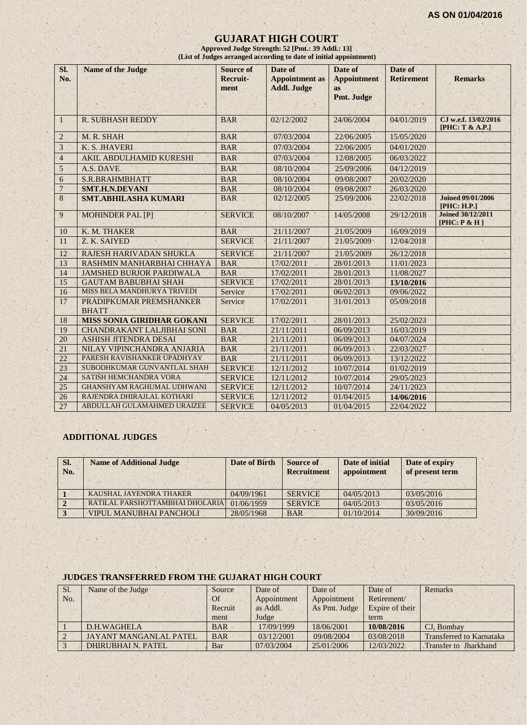#### **GUJARAT HIGH COURT**

**Approved Judge Strength: 52 [Pmt.: 39 Addl.: 13] (List of Judges arranged according to date of initial appointment)**

| SI.<br>No.      | <b>Name of the Judge</b>                | <b>Source of</b><br>Recruit- | Date of<br><b>Appointment</b> as | Date of<br><b>Appointment</b> | Date of<br><b>Retirement</b> | <b>Remarks</b>                           |
|-----------------|-----------------------------------------|------------------------------|----------------------------------|-------------------------------|------------------------------|------------------------------------------|
|                 |                                         | ment                         | <b>Addl. Judge</b>               | <b>as</b><br>Pmt. Judge       |                              |                                          |
| $\overline{1}$  | <b>R. SUBHASH REDDY</b>                 | <b>BAR</b>                   | 02/12/2002                       | 24/06/2004                    | 04/01/2019                   | CJ w.e.f. 13/02/2016<br>[PHC: T & A.P.]  |
| $\overline{c}$  | M. R. SHAH                              | <b>BAR</b>                   | 07/03/2004                       | 22/06/2005                    | 15/05/2020                   |                                          |
| $\overline{3}$  | K. S. JHAVERI                           | <b>BAR</b>                   | 07/03/2004                       | 22/06/2005                    | 04/01/2020                   |                                          |
| $\overline{4}$  | <b>AKIL ABDULHAMID KURESHI</b>          | <b>BAR</b>                   | 07/03/2004                       | 12/08/2005                    | 06/03/2022                   |                                          |
| $\mathfrak{s}$  | A.S. DAVE                               | <b>BAR</b>                   | 08/10/2004                       | 25/09/2006                    | 04/12/2019                   |                                          |
| 6               | S.R.BRAHMBHATT                          | <b>BAR</b>                   | 08/10/2004                       | 09/08/2007                    | 20/02/2020                   |                                          |
| $\overline{7}$  | <b>SMT.H.N.DEVANI</b>                   | <b>BAR</b>                   | 08/10/2004                       | 09/08/2007                    | 26/03/2020                   |                                          |
| 8               | <b>SMT.ABHILASHA KUMARI</b>             | <b>BAR</b>                   | 02/12/2005                       | 25/09/2006                    | 22/02/2018                   | <b>Joined 09/01/2006</b><br>[PHC: H.P.]  |
| 9               | <b>MOHINDER PAL [P]</b>                 | <b>SERVICE</b>               | 08/10/2007                       | 14/05/2008                    | 29/12/2018                   | <b>Joined 30/12/2011</b><br>[PHC: P & H] |
| 10              | K. M. THAKER                            | <b>BAR</b>                   | 21/11/2007                       | 21/05/2009                    | 16/09/2019                   |                                          |
| 11              | Z. K. SAIYED                            | <b>SERVICE</b>               | 21/11/2007                       | 21/05/2009                    | 12/04/2018                   |                                          |
| 12              | RAJESH HARIVADAN SHUKLA                 | <b>SERVICE</b>               | 21/11/2007                       | 21/05/2009                    | 26/12/2018                   |                                          |
| 13              | RASHMIN MANHARBHAI CHHAYA               | <b>BAR</b>                   | 17/02/2011                       | 28/01/2013                    | 11/01/2023                   |                                          |
| 14              | <b>JAMSHED BURJOR PARDIWALA</b>         | <b>BAR</b>                   | 17/02/2011                       | 28/01/2013                    | 11/08/2027                   |                                          |
| 15              | <b>GAUTAM BABUBHAI SHAH</b>             | <b>SERVICE</b>               | 17/02/2011                       | 28/01/2013                    | 13/10/2016                   |                                          |
| 16              | MISS BELA MANDHURYA TRIVEDI             | Service                      | 17/02/2011                       | 06/02/2013                    | 09/06/2022                   |                                          |
| 17              | PRADIPKUMAR PREMSHANKER<br><b>BHATT</b> | Service                      | 17/02/2011                       | 31/01/2013                    | 05/09/2018                   |                                          |
| 18              | MISS SONIA GIRIDHAR GOKANI              | <b>SERVICE</b>               | 17/02/2011                       | 28/01/2013                    | 25/02/2023                   |                                          |
| 19              | <b>CHANDRAKANT LALJIBHAI SONI</b>       | <b>BAR</b>                   | 21/11/2011                       | 06/09/2013                    | 16/03/2019                   |                                          |
| 20              | <b>ASHISH JITENDRA DESAI</b>            | <b>BAR</b>                   | 21/11/2011                       | 06/09/2013                    | 04/07/2024                   |                                          |
| 21              | NILAY VIPINCHANDRA ANJARIA              | <b>BAR</b>                   | 21/11/2011                       | 06/09/2013                    | 22/03/2027                   |                                          |
| 22              | PARESH RAVISHANKER UPADHYAY             | <b>BAR</b>                   | 21/11/2011                       | 06/09/2013                    | 13/12/2022                   |                                          |
| 23              | SUBODHKUMAR GUNVANTLAL SHAH             | <b>SERVICE</b>               | 12/11/2012                       | 10/07/2014                    | 01/02/2019                   |                                          |
| 24              | SATISH HEMCHANDRA VORA                  | <b>SERVICE</b>               | 12/11/2012                       | 10/07/2014                    | 29/05/2023                   |                                          |
| $\overline{25}$ | <b>GHANSHYAM RAGHUMAL UDHWANI</b>       | <b>SERVICE</b>               | 12/11/2012                       | 10/07/2014                    | 24/11/2023                   |                                          |
| 26              | RAJENDRA DHIRAJLAL KOTHARI              | <b>SERVICE</b>               | 12/11/2012                       | 01/04/2015                    | 14/06/2016                   |                                          |
| 27              | ABDULLAH GULAMAHMED URAIZEE             | <b>SERVICE</b>               | 04/05/2013                       | 01/04/2015                    | 22/04/2022                   |                                          |

# **ADDITIONAL JUDGES**

| SI.<br>No. | <b>Name of Additional Judge</b> | Date of Birth | Source of<br><b>Recruitment</b> | Date of initial<br>appointment | Date of expiry<br>of present term |
|------------|---------------------------------|---------------|---------------------------------|--------------------------------|-----------------------------------|
|            | KAUSHAL JAYENDRA THAKER         | 04/09/1961    | <b>SERVICE</b>                  | 04/05/2013                     | 03/05/2016                        |
|            | RATILAL PARSHOTTAMBHAI DHOLARIA | 01/06/1959    | <b>SERVICE</b>                  | 04/05/2013                     | 03/05/2016                        |
|            | VIPUL MANUBHAI PANCHOLI         | 28/05/1968    | <b>BAR</b>                      | 01/10/2014                     | 30/09/2016                        |

#### **JUDGES TRANSFERRED FROM THE GUJARAT HIGH COURT**

| Sl. | Name of the Judge      | Source     | Date of     | Date of       | Date of         | <b>Remarks</b>                  |
|-----|------------------------|------------|-------------|---------------|-----------------|---------------------------------|
| No. |                        | Of         | Appointment | Appointment   | Retirement/     |                                 |
|     |                        | Recruit    | as Addl.    | As Pmt. Judge | Expire of their |                                 |
|     |                        | ment       | Judge       |               | term            |                                 |
|     | D.H.WAGHELA            | <b>BAR</b> | 17/09/1999  | 18/06/2001    | 10/08/2016      | CJ. Bombay                      |
|     | JAYANT MANGANLAL PATEL | <b>BAR</b> | 03/12/2001  | 09/08/2004    | 03/08/2018      | <b>Transferred to Karnataka</b> |
|     | DHIRUBHAI N. PATEL     | Bar        | 07/03/2004  | 25/01/2006    | 12/03/2022      | Transfer to Jharkhand           |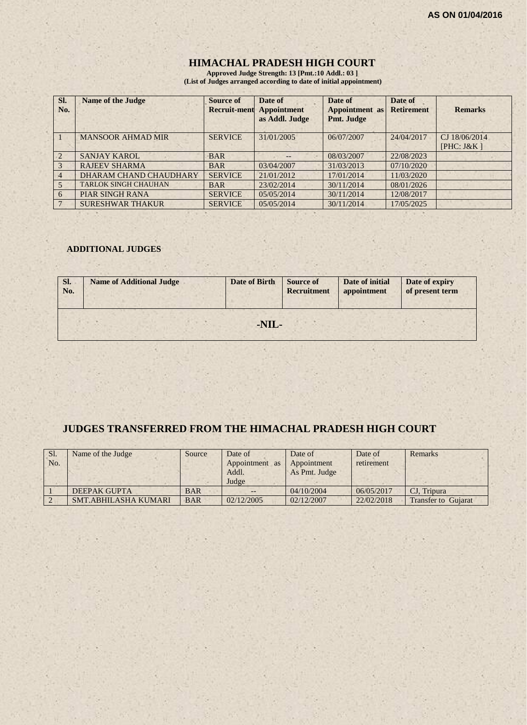# **HIMACHAL PRADESH HIGH COURT**

**Approved Judge Strength: 13 [Pmt.:10 Addl.: 03 ] (List of Judges arranged according to date of initial appointment)**

| Sl.<br>No.     | <b>Name of the Judge</b>    | Source of<br><b>Recruit-ment</b> | Date of<br><b>Appointment</b><br>as Addl. Judge | Date of<br>Appointment as<br>Pmt. Judge | Date of<br><b>Retirement</b> | <b>Remarks</b> |
|----------------|-----------------------------|----------------------------------|-------------------------------------------------|-----------------------------------------|------------------------------|----------------|
|                | <b>MANSOOR AHMAD MIR</b>    | <b>SERVICE</b>                   | 31/01/2005                                      | 06/07/2007                              | 24/04/2017                   | CJ 18/06/2014  |
|                |                             |                                  |                                                 |                                         |                              | [ $PHC: J&K$ ] |
| $\sqrt{2}$     | <b>SANJAY KAROL</b>         | <b>BAR</b>                       | $- -$                                           | 08/03/2007                              | 22/08/2023                   |                |
|                | <b>RAJEEV SHARMA</b>        | <b>BAR</b>                       | 03/04/2007                                      | 31/03/2013                              | 07/10/2020                   |                |
| $\overline{4}$ | DHARAM CHAND CHAUDHARY      | <b>SERVICE</b>                   | 21/01/2012                                      | 17/01/2014                              | 11/03/2020                   |                |
|                | <b>TARLOK SINGH CHAUHAN</b> | <b>BAR</b>                       | 23/02/2014                                      | 30/11/2014                              | 08/01/2026                   |                |
| 6              | <b>PIAR SINGH RANA</b>      | <b>SERVICE</b>                   | 05/05/2014                                      | 30/11/2014                              | 12/08/2017                   |                |
|                | <b>SURESHWAR THAKUR</b>     | <b>SERVICE</b>                   | 05/05/2014                                      | 30/11/2014                              | 17/05/2025                   |                |

#### **ADDITIONAL JUDGES**

| SI.<br>No. | <b>Name of Additional Judge</b> | <b>Date of Birth</b> | <b>Source of</b><br><b>Recruitment</b> | Date of initial<br>appointment | Date of expiry<br>of present term |
|------------|---------------------------------|----------------------|----------------------------------------|--------------------------------|-----------------------------------|
|            |                                 | -NIL-                |                                        |                                |                                   |

## **JUDGES TRANSFERRED FROM THE HIMACHAL PRADESH HIGH COURT**

| Sl.<br>No. | Name of the Judge   | Source     | Date of<br>Appointment as<br>Addl. | Date of<br>Appointment<br>As Pmt. Judge | Date of<br>retirement | <b>Remarks</b> |
|------------|---------------------|------------|------------------------------------|-----------------------------------------|-----------------------|----------------|
|            |                     |            | Judge                              |                                         |                       |                |
|            | <b>DEEPAK GUPTA</b> | <b>BAR</b> |                                    | 04/10/2004                              | 06/05/2017            | CJ. Tripura    |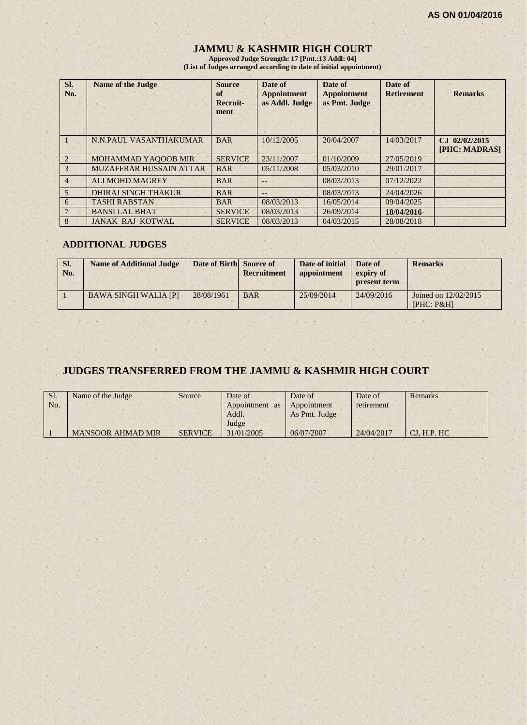## **JAMMU & KASHMIR HIGH COURT**

**Approved Judge Strength: 17 [Pmt.:13 Addl: 04] (List of Judges arranged according to date of initial appointment)**

| SI.<br>No.            | <b>Name of the Judge</b>   | <b>Source</b><br>of<br>Recruit-<br>ment | Date of<br><b>Appointment</b><br>as Addl. Judge | Date of<br><b>Appointment</b><br>as Pmt. Judge | Date of<br><b>Retirement</b> | <b>Remarks</b>                              |
|-----------------------|----------------------------|-----------------------------------------|-------------------------------------------------|------------------------------------------------|------------------------------|---------------------------------------------|
|                       | N.N.PAUL VASANTHAKUMAR     | <b>BAR</b>                              | 10/12/2005                                      | 20/04/2007                                     | 14/03/2017                   | 02/02/2015<br>$C_{\rm{L}}$<br>[PHC: MADRAS] |
| $\mathcal{D}_{\cdot}$ | <b>MOHAMMAD YAQOOB MIR</b> | <b>SERVICE</b>                          | 23/11/2007                                      | 01/10/2009                                     | 27/05/2019                   |                                             |
| 3                     | MUZAFFRAR HUSSAIN ATTAR    | <b>BAR</b>                              | 05/11/2008                                      | 05/03/2010                                     | 29/01/2017                   |                                             |
| $\overline{4}$        | <b>ALI MOHD MAGREY</b>     | <b>BAR</b>                              | $--$                                            | 08/03/2013                                     | 07/12/2022                   |                                             |
| 5                     | DHIRAJ SINGH THAKUR        | <b>BAR</b>                              | $- -$                                           | 08/03/2013                                     | 24/04/2026                   |                                             |
| 6                     | <b>TASHI RABSTAN</b>       | <b>BAR</b>                              | 08/03/2013                                      | 16/05/2014                                     | 09/04/2025                   |                                             |
|                       | <b>BANSI LAL BHAT</b>      | <b>SERVICE</b>                          | 08/03/2013                                      | 26/09/2014                                     | 18/04/2016                   |                                             |
| 8                     | <b>JANAK RAJ KOTWAL</b>    | <b>SERVICE</b>                          | 08/03/2013                                      | 04/03/2015                                     | 28/08/2018                   |                                             |

## **ADDITIONAL JUDGES**

| SI.<br>No. | <b>Name of Additional Judge</b> | Date of Birth Source of | Recruitment | Date of initial<br>appointment | Date of<br>expiry of<br>present term | <b>Remarks</b>                        |
|------------|---------------------------------|-------------------------|-------------|--------------------------------|--------------------------------------|---------------------------------------|
|            | <b>BAWA SINGH WALIA [P]</b>     | 28/08/1961              | <b>BAR</b>  | 25/09/2014                     | 24/09/2016                           | Joined on 12/02/2015<br>$[PHC: P\&H]$ |

## **JUDGES TRANSFERRED FROM THE JAMMU & KASHMIR HIGH COURT**

| Sl.<br>No. | Name of the Judge        | Source         | Date of<br>Appointment as<br>Addl.<br>Judge | Date of<br>Appointment<br>As Pmt. Judge | Date of<br>retirement | Remarks      |
|------------|--------------------------|----------------|---------------------------------------------|-----------------------------------------|-----------------------|--------------|
|            | <b>MANSOOR AHMAD MIR</b> | <b>SERVICE</b> | 31/01/2005                                  | 06/07/2007                              | 24/04/2017            | CI. H.P. H C |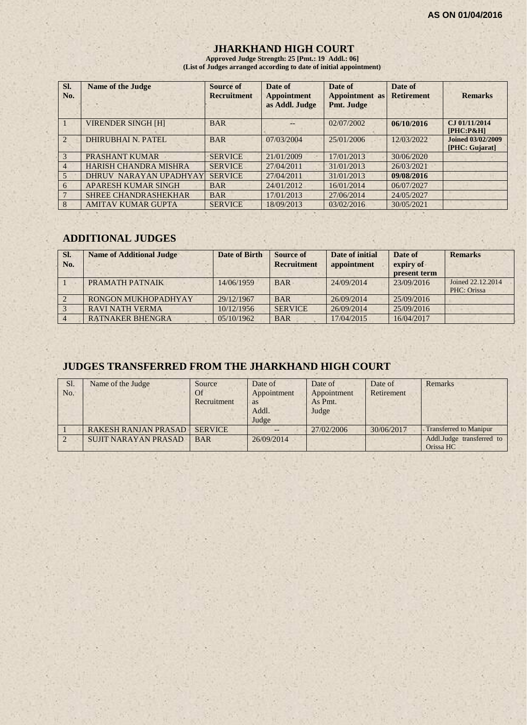## **JHARKHAND HIGH COURT**

**Approved Judge Strength: 25 [Pmt.: 19 Addl.: 06] (List of Judges arranged according to date of initial appointment)**

| SI.<br>No.            | <b>Name of the Judge</b>     | <b>Source of</b><br><b>Recruitment</b> | Date of<br><b>Appointment</b><br>as Addl. Judge | Date of<br><b>Appointment</b> as<br><b>Pmt. Judge</b> | Date of<br><b>Retirement</b> | <b>Remarks</b>                             |
|-----------------------|------------------------------|----------------------------------------|-------------------------------------------------|-------------------------------------------------------|------------------------------|--------------------------------------------|
|                       | <b>VIRENDER SINGH [H]</b>    | <b>BAR</b>                             |                                                 | 02/07/2002                                            | 06/10/2016                   | CJ 01/11/2014<br>[PHC:PAH]                 |
| $\mathcal{D}_{\cdot}$ | <b>DHIRUBHAI N. PATEL</b>    | <b>BAR</b>                             | 07/03/2004                                      | 25/01/2006                                            | 12/03/2022                   | <b>Joined 03/02/2009</b><br>[PHC: Gujarat] |
| $\mathcal{E}$         | PRASHANT KUMAR               | <b>SERVICE</b>                         | 21/01/2009                                      | 17/01/2013                                            | 30/06/2020                   |                                            |
| $\overline{4}$        | <b>HARISH CHANDRA MISHRA</b> | <b>SERVICE</b>                         | 27/04/2011                                      | 31/01/2013                                            | 26/03/2021                   |                                            |
| 5                     | DHRUV NARAYAN UPADHYAY       | <b>SERVICE</b>                         | 27/04/2011                                      | 31/01/2013                                            | 09/08/2016                   |                                            |
| 6                     | APARESH KUMAR SINGH          | <b>BAR</b>                             | 24/01/2012                                      | 16/01/2014                                            | 06/07/2027                   |                                            |
|                       | <b>SHREE CHANDRASHEKHAR</b>  | <b>BAR</b>                             | 17/01/2013                                      | 27/06/2014                                            | 24/05/2027                   |                                            |
| 8                     | <b>AMITAV KUMAR GUPTA</b>    | <b>SERVICE</b>                         | 18/09/2013                                      | 03/02/2016                                            | 30/05/2021                   |                                            |

## **ADDITIONAL JUDGES**

| SI.<br>No. | <b>Name of Additional Judge</b> | Date of Birth | Source of<br><b>Recruitment</b> | Date of initial<br>appointment | Date of<br>expiry of<br>present term | <b>Remarks</b>                   |
|------------|---------------------------------|---------------|---------------------------------|--------------------------------|--------------------------------------|----------------------------------|
|            | PRAMATH PATNAIK                 | 14/06/1959    | <b>BAR</b>                      | 24/09/2014                     | 23/09/2016                           | Joined 22.12.2014<br>PHC: Orissa |
|            | RONGON MUKHOPADHYAY             | 29/12/1967    | <b>BAR</b>                      | 26/09/2014                     | 25/09/2016                           |                                  |
|            | <b>RAVI NATH VERMA</b>          | 10/12/1956    | <b>SERVICE</b>                  | 26/09/2014                     | 25/09/2016                           |                                  |
|            | <b>RATNAKER BHENGRA</b>         | 05/10/1962    | <b>BAR</b>                      | 17/04/2015                     | 16/04/2017                           |                                  |

## **JUDGES TRANSFERRED FROM THE JHARKHAND HIGH COURT**

| Sl.<br>No. | Name of the Judge           | Source<br>$\overline{Of}$<br>Recruitment | Date of<br>Appointment<br><b>as</b><br>Addl.<br>Judge | Date of<br>Appointment<br>As Pmt.<br>Judge | Date of<br>Retirement | Remarks                                |
|------------|-----------------------------|------------------------------------------|-------------------------------------------------------|--------------------------------------------|-----------------------|----------------------------------------|
|            | <b>RAKESH RANJAN PRASAD</b> | <b>SERVICE</b>                           |                                                       | 27/02/2006                                 | 30/06/2017            | <b>Transferred to Manipur</b>          |
|            | <b>SUJIT NARAYAN PRASAD</b> | <b>BAR</b>                               | 26/09/2014                                            |                                            |                       | Addl.Judge transferred to<br>Orissa HC |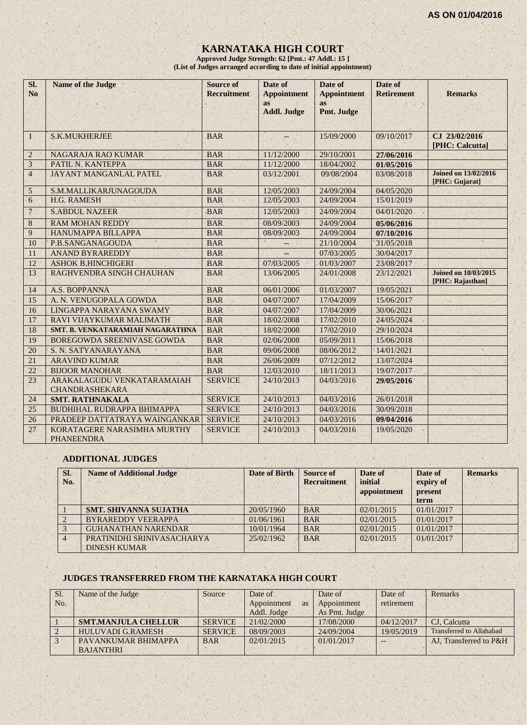# **KARNATAKA HIGH COURT**

**Approved Judge Strength: 62 [Pmt.: 47 Addl.: 15 ] (List of Judges arranged according to date of initial appointment)**

| SI.<br><b>No</b> | <b>Name of the Judge</b>                         | <b>Source of</b><br><b>Recruitment</b> | Date of<br><b>Appointment</b>   | Date of<br><b>Appointment</b> | Date of<br><b>Retirement</b> | <b>Remarks</b>                                  |
|------------------|--------------------------------------------------|----------------------------------------|---------------------------------|-------------------------------|------------------------------|-------------------------------------------------|
|                  |                                                  |                                        | <b>as</b><br><b>Addl. Judge</b> | <b>as</b><br>Pmt. Judge       |                              |                                                 |
|                  |                                                  |                                        |                                 |                               |                              |                                                 |
| $\mathbf{1}$     | <b>S.K.MUKHERJEE</b>                             | <b>BAR</b>                             |                                 | 15/09/2000                    | 09/10/2017                   | CJ 23/02/2016<br>[PHC: Calcutta]                |
| $\overline{2}$   | NAGARAJA RAO KUMAR                               | <b>BAR</b>                             | 11/12/2000                      | 29/10/2001                    | 27/06/2016                   |                                                 |
| 3                | PATIL N. KANTEPPA                                | <b>BAR</b>                             | 11/12/2000                      | 18/04/2002                    | 01/05/2016                   |                                                 |
| $\overline{4}$   | JAYANT MANGANLAL PATEL                           | <b>BAR</b>                             | 03/12/2001                      | 09/08/2004                    | 03/08/2018                   | <b>Joined on 13/02/2016</b><br>[PHC: Gujarat]   |
| 5                | S.M.MALLIKARJUNAGOUDA                            | <b>BAR</b>                             | 12/05/2003                      | 24/09/2004                    | 04/05/2020                   |                                                 |
| 6                | H.G. RAMESH                                      | <b>BAR</b>                             | 12/05/2003                      | 24/09/2004                    | 15/01/2019                   |                                                 |
| $\overline{7}$   | <b>S.ABDUL NAZEER</b>                            | <b>BAR</b>                             | 12/05/2003                      | 24/09/2004                    | 04/01/2020                   |                                                 |
| 8                | <b>RAM MOHAN REDDY</b>                           | <b>BAR</b>                             | 08/09/2003                      | 24/09/2004                    | 05/06/2016                   |                                                 |
| 9                | <b>HANUMAPPA BILLAPPA</b>                        | <b>BAR</b>                             | 08/09/2003                      | 24/09/2004                    | 07/10/2016                   |                                                 |
| 10               | P.B.SANGANAGOUDA                                 | <b>BAR</b>                             |                                 | 21/10/2004                    | 31/05/2018                   |                                                 |
| 11               | <b>ANAND BYRAREDDY</b>                           | <b>BAR</b>                             |                                 | 07/03/2005                    | 30/04/2017                   |                                                 |
| 12               | <b>ASHOK B.HINCHIGERI</b>                        | <b>BAR</b>                             | 07/03/2005                      | 01/03/2007                    | 23/08/2017                   |                                                 |
| 13               | RAGHVENDRA SINGH CHAUHAN                         | <b>BAR</b>                             | 13/06/2005                      | 24/01/2008                    | 23/12/2021                   | <b>Joined on 10/03/2015</b><br>[PHC: Rajasthan] |
| 14               | A.S. BOPPANNA                                    | <b>BAR</b>                             | 06/01/2006                      | 01/03/2007                    | 19/05/2021                   |                                                 |
| 15               | A. N. VENUGOPALA GOWDA                           | <b>BAR</b>                             | 04/07/2007                      | 17/04/2009                    | 15/06/2017                   |                                                 |
| 16               | LINGAPPA NARAYANA SWAMY                          | <b>BAR</b>                             | 04/07/2007                      | 17/04/2009                    | 30/06/2021                   |                                                 |
| 17               | RAVI VIJAYKUMAR MALIMATH                         | <b>BAR</b>                             | 18/02/2008                      | 17/02/2010                    | 24/05/2024                   |                                                 |
| 18               | SMT. B. VENKATARAMIAH NAGARATHNA                 | <b>BAR</b>                             | 18/02/2008                      | 17/02/2010                    | 29/10/2024                   |                                                 |
| 19               | BOREGOWDA SREENIVASE GOWDA                       | <b>BAR</b>                             | 02/06/2008                      | 05/09/2011                    | 15/06/2018                   |                                                 |
| 20               | S. N. SATYANARAYANA                              | <b>BAR</b>                             | 09/06/2008                      | 08/06/2012                    | 14/01/2021                   |                                                 |
| 21               | <b>ARAVIND KUMAR</b>                             | <b>BAR</b>                             | 26/06/2009                      | 07/12/2012                    | 13/07/2024                   |                                                 |
| 22               | <b>BIJOOR MANOHAR</b>                            | <b>BAR</b>                             | 12/03/2010                      | 18/11/2013                    | 19/07/2017                   |                                                 |
| 23               | ARAKALAGUDU VENKATARAMAIAH                       | <b>SERVICE</b>                         | 24/10/2013                      | 04/03/2016                    | 29/05/2016                   |                                                 |
|                  | <b>CHANDRASHEKARA</b>                            |                                        |                                 |                               |                              |                                                 |
| 24               | <b>SMT. RATHNAKALA</b>                           | <b>SERVICE</b>                         | 24/10/2013                      | 04/03/2016                    | 26/01/2018                   |                                                 |
| 25               | <b>BUDHIHAL RUDRAPPA BHIMAPPA</b>                | <b>SERVICE</b>                         | 24/10/2013                      | 04/03/2016                    | 30/09/2018                   |                                                 |
| 26               | PRADEEP DATTATRAYA WAINGANKAR                    | <b>SERVICE</b>                         | 24/10/2013                      | 04/03/2016                    | 09/04/2016                   |                                                 |
| 27               | KORATAGERE NARASIMHA MURTHY<br><b>PHANEENDRA</b> | <b>SERVICE</b>                         | 24/10/2013                      | 04/03/2016                    | 19/05/2020                   |                                                 |

#### **ADDITIONAL JUDGES**

| SI.<br>No. | <b>Name of Additional Judge</b>                   | <b>Date of Birth</b> | Source of<br><b>Recruitment</b> | Date of<br>initial<br>appointment | Date of<br>expiry of<br>present<br>term | <b>Remarks</b> |
|------------|---------------------------------------------------|----------------------|---------------------------------|-----------------------------------|-----------------------------------------|----------------|
|            | <b>SMT. SHIVANNA SUJATHA</b>                      | 20/05/1960           | <b>BAR</b>                      | 02/01/2015                        | 01/01/2017                              |                |
|            | <b>BYRAREDDY VEERAPPA</b>                         | 01/06/1961           | <b>BAR</b>                      | 02/01/2015                        | 01/01/2017                              |                |
|            | <b>GUHANATHAN NARENDAR</b>                        | 10/01/1964           | <b>BAR</b>                      | 02/01/2015                        | 01/01/2017                              |                |
|            | PRATINIDHI SRINIVASACHARYA<br><b>DINESH KUMAR</b> | 25/02/1962           | <b>BAR</b>                      | 02/01/2015                        | 01/01/2017                              |                |

#### **JUDGES TRANSFERRED FROM THE KARNATAKA HIGH COURT**

| Sl.            | Name of the Judge          | Source         | Date of                  | Date of       | Date of    | Remarks                  |
|----------------|----------------------------|----------------|--------------------------|---------------|------------|--------------------------|
| N <sub>0</sub> |                            |                | Appointment<br><b>as</b> | Appointment   | retirement |                          |
|                |                            |                | Addl. Judge              | As Pmt. Judge |            |                          |
|                | <b>SMT.MANJULA CHELLUR</b> | <b>SERVICE</b> | 21/02/2000               | 17/08/2000    | 04/12/2017 | CJ. Calcutta             |
|                | <b>HULUVADI G.RAMESH</b>   | <b>SERVICE</b> | 08/09/2003               | 24/09/2004    | 19/05/2019 | Transferred to Allahabad |
|                | PAVANKUMAR BHIMAPPA        | <b>BAR</b>     | 02/01/2015               | 01/01/2017    |            | AJ. Transferred to P&H   |
|                | <b>BAJANTHRI</b>           |                |                          |               |            |                          |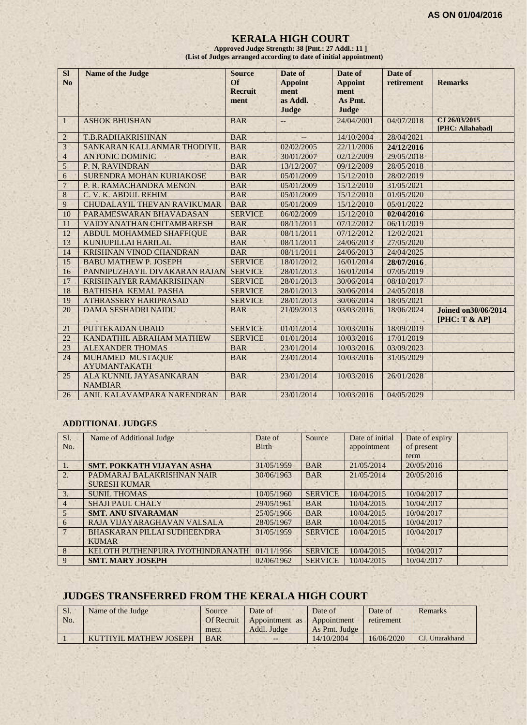## **KERALA HIGH COURT**

**Approved Judge Strength: 38 [Pmt.: 27 Addl.: 11 ] (List of Judges arranged according to date of initial appointment)**

| <b>SI</b><br>N <sub>o</sub> | <b>Name of the Judge</b>                  | <b>Source</b><br><b>Of</b><br><b>Recruit</b><br>ment | Date of<br><b>Appoint</b><br>ment<br>as Addl.<br>Judge | Date of<br><b>Appoint</b><br>ment<br>As Pmt.<br>Judge | Date of<br>retirement | <b>Remarks</b>                               |
|-----------------------------|-------------------------------------------|------------------------------------------------------|--------------------------------------------------------|-------------------------------------------------------|-----------------------|----------------------------------------------|
| $\mathbf{1}$                | <b>ASHOK BHUSHAN</b>                      | <b>BAR</b>                                           |                                                        | 24/04/2001                                            | 04/07/2018            | CJ 26/03/2015<br>[PHC: Allahabad]            |
| $\overline{2}$              | T.B.RADHAKRISHNAN                         | <b>BAR</b>                                           |                                                        | 14/10/2004                                            | 28/04/2021            |                                              |
| $\mathfrak{Z}$              | SANKARAN KALLANMAR THODIYIL               | <b>BAR</b>                                           | 02/02/2005                                             | 22/11/2006                                            | 24/12/2016            |                                              |
| $\overline{4}$              | <b>ANTONIC DOMINIC</b>                    | <b>BAR</b>                                           | 30/01/2007                                             | 02/12/2009                                            | 29/05/2018            |                                              |
| $\overline{5}$              | P. N. RAVINDRAN                           | <b>BAR</b>                                           | 13/12/2007                                             | 09/12/2009                                            | 28/05/2018            |                                              |
| 6                           | SURENDRA MOHAN KURIAKOSE                  | <b>BAR</b>                                           | 05/01/2009                                             | 15/12/2010                                            | 28/02/2019            |                                              |
| $\overline{7}$              | P. R. RAMACHANDRA MENON                   | <b>BAR</b>                                           | 05/01/2009                                             | 15/12/2010                                            | 31/05/2021            |                                              |
| 8                           | C. V. K. ABDUL REHIM                      | <b>BAR</b>                                           | 05/01/2009                                             | 15/12/2010                                            | 01/05/2020            |                                              |
| 9                           | CHUDALAYIL THEVAN RAVIKUMAR               | <b>BAR</b>                                           | 05/01/2009                                             | 15/12/2010                                            | 05/01/2022            |                                              |
| 10                          | PARAMESWARAN BHAVADASAN                   | <b>SERVICE</b>                                       | 06/02/2009                                             | 15/12/2010                                            | 02/04/2016            |                                              |
| 11                          | VAIDYANATHAN CHITAMBARESH                 | <b>BAR</b>                                           | 08/11/2011                                             | 07/12/2012                                            | 06/11/2019            |                                              |
| 12                          | ABDUL MOHAMMED SHAFFIQUE                  | <b>BAR</b>                                           | 08/11/2011                                             | 07/12/2012                                            | 12/02/2021            |                                              |
| 13                          | KUNJUPILLAI HARILAL                       | <b>BAR</b>                                           | 08/11/2011                                             | 24/06/2013                                            | 27/05/2020            |                                              |
| 14                          | <b>KRISHNAN VINOD CHANDRAN</b>            | <b>BAR</b>                                           | 08/11/2011                                             | 24/06/2013                                            | 24/04/2025            |                                              |
| 15                          | <b>BABU MATHEW P. JOSEPH</b>              | <b>SERVICE</b>                                       | 18/01/2012                                             | 16/01/2014                                            | 28/07/2016            |                                              |
| 16                          | PANNIPUZHAYIL DIVAKARAN RAJAN             | <b>SERVICE</b>                                       | 28/01/2013                                             | 16/01/2014                                            | 07/05/2019            |                                              |
| 17                          | KRISHNAIYER RAMAKRISHNAN                  | <b>SERVICE</b>                                       | 28/01/2013                                             | 30/06/2014                                            | 08/10/2017            |                                              |
| 18                          | <b>BATHISHA KEMAL PASHA</b>               | <b>SERVICE</b>                                       | 28/01/2013                                             | 30/06/2014                                            | 24/05/2018            |                                              |
| 19                          | <b>ATHRASSERY HARIPRASAD</b>              | <b>SERVICE</b>                                       | 28/01/2013                                             | 30/06/2014                                            | 18/05/2021            |                                              |
| 20                          | <b>DAMA SESHADRI NAIDU</b>                | <b>BAR</b>                                           | 21/09/2013                                             | 03/03/2016                                            | 18/06/2024            | <b>Joined on 30/06/2014</b><br>[PHC: T & AP] |
| 21                          | PUTTEKADAN UBAID                          | <b>SERVICE</b>                                       | 01/01/2014                                             | 10/03/2016                                            | 18/09/2019            |                                              |
| 22                          | KANDATHIL ABRAHAM MATHEW                  | <b>SERVICE</b>                                       | 01/01/2014                                             | 10/03/2016                                            | 17/01/2019            |                                              |
| 23                          | <b>ALEXANDER THOMAS</b>                   | <b>BAR</b>                                           | 23/01/2014                                             | 10/03/2016                                            | 03/09/2023            |                                              |
| 24                          | MUHAMED MUSTAQUE<br><b>AYUMANTAKATH</b>   | <b>BAR</b>                                           | 23/01/2014                                             | 10/03/2016                                            | 31/05/2029            |                                              |
| 25                          | ALA KUNNIL JAYASANKARAN<br><b>NAMBIAR</b> | <b>BAR</b>                                           | 23/01/2014                                             | 10/03/2016                                            | 26/01/2028            |                                              |
| 26                          | ANIL KALAVAMPARA NARENDRAN                | <b>BAR</b>                                           | 23/01/2014                                             | 10/03/2016                                            | 04/05/2029            |                                              |

## **ADDITIONAL JUDGES**

| Sl.            | Name of Additional Judge           | Date of      | Source         | Date of initial | Date of expiry |  |
|----------------|------------------------------------|--------------|----------------|-----------------|----------------|--|
| No.            |                                    | <b>Birth</b> |                |                 |                |  |
|                |                                    |              |                | appointment     | of present     |  |
|                |                                    |              |                |                 | term           |  |
| 1.             | <b>SMT. POKKATH VIJAYAN ASHA</b>   | 31/05/1959   | <b>BAR</b>     | 21/05/2014      | 20/05/2016     |  |
| 2.             | PADMARAJ BALAKRISHNAN NAIR         | 30/06/1963   | <b>BAR</b>     | 21/05/2014      | 20/05/2016     |  |
|                | <b>SURESH KUMAR</b>                |              |                |                 |                |  |
| $\mathbf{3}$ . | <b>SUNIL THOMAS</b>                | 10/05/1960   | <b>SERVICE</b> | 10/04/2015      | 10/04/2017     |  |
| $\overline{4}$ | <b>SHAJI PAUL CHALY</b>            | 29/05/1961   | <b>BAR</b>     | 10/04/2015      | 10/04/2017     |  |
| 5              | <b>SMT. ANU SIVARAMAN</b>          | 25/05/1966   | <b>BAR</b>     | 10/04/2015      | 10/04/2017     |  |
| 6              | RAJA VIJAYARAGHAVAN VALSALA        | 28/05/1967   | <b>BAR</b>     | 10/04/2015      | 10/04/2017     |  |
| $\overline{7}$ | <b>BHASKARAN PILLAI SUDHEENDRA</b> | 31/05/1959   | <b>SERVICE</b> | 10/04/2015      | 10/04/2017     |  |
|                | <b>KUMAR</b>                       |              |                |                 |                |  |
| 8              | KELOTH PUTHENPURA JYOTHINDRANATH   | 01/11/1956   | <b>SERVICE</b> | 10/04/2015      | 10/04/2017     |  |
| 9              | <b>SMT. MARY JOSEPH</b>            | 02/06/1962   | <b>SERVICE</b> | 10/04/2015      | 10/04/2017     |  |

# **JUDGES TRANSFERRED FROM THE KERALA HIGH COURT**

| Sl. | Name of the Judge      | Source            | Date of        | Date of       | Date of    | <b>Remarks</b>  |
|-----|------------------------|-------------------|----------------|---------------|------------|-----------------|
| No. |                        | <b>Of Recruit</b> | Appointment as | Appointment   | retirement |                 |
|     |                        | ment              | Addl. Judge    | As Pmt. Judge |            |                 |
|     | KUTTIYIL MATHEW JOSEPH | <b>BAR</b>        | $- -$          | 14/10/2004    | 16/06/2020 | CJ, Uttarakhand |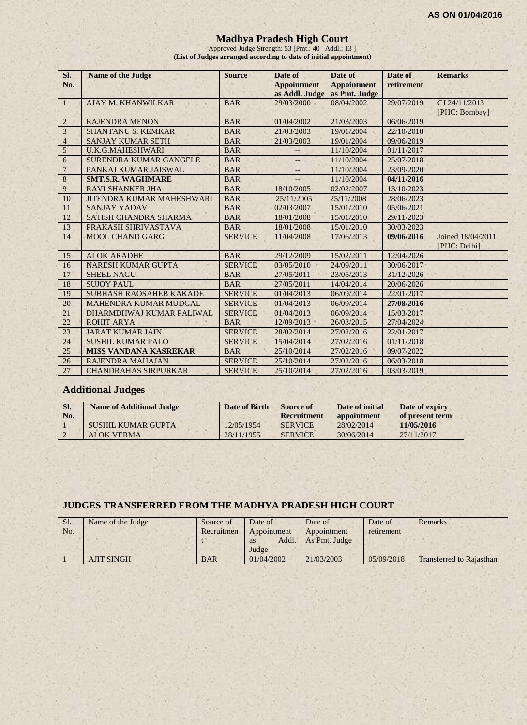## **Madhya Pradesh High Court**

Approved Judge Strength: 53 [Pmt.: 40 Addl.: 13 ] **(List of Judges arranged according to date of initial appointment)**

| Sl.<br>No.     | <b>Name of the Judge</b>         | <b>Source</b>  | Date of<br><b>Appointment</b><br>as Addl. Judge | Date of<br><b>Appointment</b><br>as Pmt. Judge | Date of<br>retirement | <b>Remarks</b>                    |
|----------------|----------------------------------|----------------|-------------------------------------------------|------------------------------------------------|-----------------------|-----------------------------------|
| 1              | <b>AJAY M. KHANWILKAR</b>        | <b>BAR</b>     | 29/03/2000                                      | 08/04/2002                                     | 29/07/2019            | CJ 24/11/2013<br>[PHC: Bombay]    |
| $\overline{2}$ | <b>RAJENDRA MENON</b>            | <b>BAR</b>     | 01/04/2002                                      | 21/03/2003                                     | 06/06/2019            |                                   |
| 3              | <b>SHANTANU S. KEMKAR</b>        | <b>BAR</b>     | 21/03/2003                                      | 19/01/2004                                     | 22/10/2018            |                                   |
| $\overline{4}$ | <b>SANJAY KUMAR SETH</b>         | <b>BAR</b>     | 21/03/2003                                      | 19/01/2004                                     | 09/06/2019            |                                   |
| $\overline{5}$ | <b>U.K.G.MAHESHWARI</b>          | <b>BAR</b>     |                                                 | 11/10/2004                                     | 01/11/2017            |                                   |
| 6              | <b>SURENDRA KUMAR GANGELE</b>    | <b>BAR</b>     | $-$                                             | 11/10/2004                                     | 25/07/2018            |                                   |
| $\overline{7}$ | PANKAJ KUMAR JAISWAL             | <b>BAR</b>     | --                                              | 11/10/2004                                     | 23/09/2020            |                                   |
| 8              | <b>SMT.S.R. WAGHMARE</b>         | <b>BAR</b>     |                                                 | 11/10/2004                                     | 04/11/2016            |                                   |
| 9              | <b>RAVI SHANKER JHA</b>          | <b>BAR</b>     | 18/10/2005                                      | 02/02/2007                                     | 13/10/2023            |                                   |
| 10             | <b>JITENDRA KUMAR MAHESHWARI</b> | <b>BAR</b>     | 25/11/2005                                      | 25/11/2008                                     | 28/06/2023            |                                   |
| 11             | <b>SANJAY YADAV</b>              | <b>BAR</b>     | 02/03/2007                                      | 15/01/2010                                     | 05/06/2021            |                                   |
| 12             | <b>SATISH CHANDRA SHARMA</b>     | <b>BAR</b>     | 18/01/2008                                      | 15/01/2010                                     | 29/11/2023            |                                   |
| 13             | PRAKASH SHRIVASTAVA              | <b>BAR</b>     | 18/01/2008                                      | 15/01/2010                                     | 30/03/2023            |                                   |
| 14             | <b>MOOL CHAND GARG</b>           | <b>SERVICE</b> | 11/04/2008                                      | 17/06/2013                                     | 09/06/2016            | Joined 18/04/2011<br>[PHC: Delhi] |
| 15             | <b>ALOK ARADHE</b>               | <b>BAR</b>     | 29/12/2009                                      | 15/02/2011                                     | 12/04/2026            |                                   |
| 16             | <b>NARESH KUMAR GUPTA</b>        | <b>SERVICE</b> | 03/05/2010                                      | 24/09/2011                                     | 30/06/2017            |                                   |
| 17             | <b>SHEEL NAGU</b>                | <b>BAR</b>     | 27/05/2011                                      | 23/05/2013                                     | 31/12/2026            |                                   |
| 18             | <b>SUJOY PAUL</b>                | <b>BAR</b>     | 27/05/2011                                      | 14/04/2014                                     | 20/06/2026            |                                   |
| 19             | <b>SUBHASH RAOSAHEB KAKADE</b>   | <b>SERVICE</b> | 01/04/2013                                      | 06/09/2014                                     | 22/01/2017            |                                   |
| 20             | <b>MAHENDRA KUMAR MUDGAL</b>     | <b>SERVICE</b> | 01/04/2013                                      | 06/09/2014                                     | 27/08/2016            |                                   |
| 21             | DHARMDHWAJ KUMAR PALIWAL         | <b>SERVICE</b> | 01/04/2013                                      | 06/09/2014                                     | 15/03/2017            |                                   |
| 22             | <b>ROHIT ARYA</b>                | <b>BAR</b>     | 12/09/2013                                      | 26/03/2015                                     | 27/04/2024            |                                   |
| 23             | <b>JARAT KUMAR JAIN</b>          | <b>SERVICE</b> | 28/02/2014                                      | 27/02/2016                                     | 22/01/2017            |                                   |
| 24             | <b>SUSHIL KUMAR PALO</b>         | <b>SERVICE</b> | 15/04/2014                                      | 27/02/2016                                     | 01/11/2018            |                                   |
| 25             | <b>MISS VANDANA KASREKAR</b>     | <b>BAR</b>     | 25/10/2014                                      | 27/02/2016                                     | 09/07/2022            |                                   |
| 26             | <b>RAJENDRA MAHAJAN</b>          | <b>SERVICE</b> | 25/10/2014                                      | 27/02/2016                                     | 06/03/2018            |                                   |
| 27             | <b>CHANDRAHAS SIRPURKAR</b>      | <b>SERVICE</b> | 25/10/2014                                      | 27/02/2016                                     | 03/03/2019            |                                   |

# **Additional Judges**

| SI.<br>No. | <b>Name of Additional Judge</b> | Date of Birth | Source of<br>Recruitment | Date of initial<br>appointment | Date of expiry<br>of present term |
|------------|---------------------------------|---------------|--------------------------|--------------------------------|-----------------------------------|
|            | SUSHIL KUMAR GUPTA              | 12/05/1954    | <b>SERVICE</b>           | 28/02/2014                     | 11/05/2016                        |
|            | ALOK VERMA                      | 28/11/1955    | <b>SERVICE</b>           | 30/06/2014                     | 27/11/2017                        |

#### **JUDGES TRANSFERRED FROM THE MADHYA PRADESH HIGH COURT**

| Sl. | Name of the Judge | Source of  | Date of     | Date of       | Date of    | Remarks                         |
|-----|-------------------|------------|-------------|---------------|------------|---------------------------------|
| No. |                   | Recruitmen | Appointment | Appointment   | retirement |                                 |
|     |                   |            | Addl.<br>as | As Pmt. Judge |            |                                 |
|     |                   |            | Judge       |               |            |                                 |
|     | <b>AJIT SINGH</b> | <b>BAR</b> | 01/04/2002  | 21/03/2003    | 05/09/2018 | <b>Transferred to Rajasthan</b> |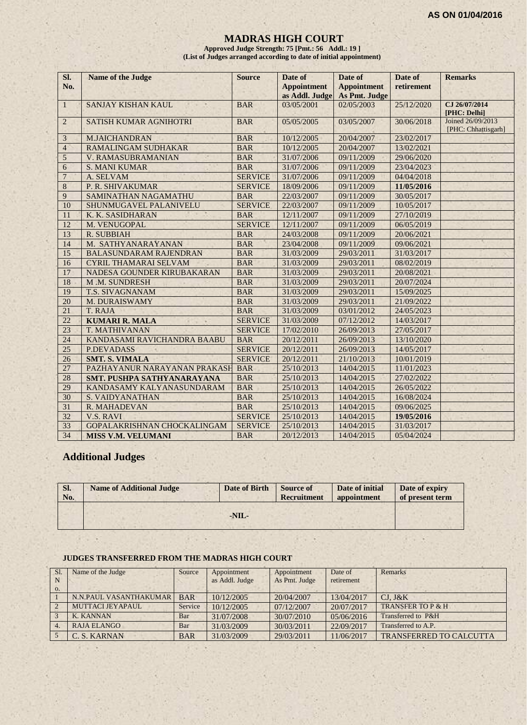#### **MADRAS HIGH COURT**

**Approved Judge Strength: 75 [Pmt.: 56 Addl.: 19 ] (List of Judges arranged according to date of initial appointment)**

| Sl.            | <b>Name of the Judge</b>          | <b>Source</b>  | Date of                              | Date of                             | Date of    | <b>Remarks</b>                           |
|----------------|-----------------------------------|----------------|--------------------------------------|-------------------------------------|------------|------------------------------------------|
| No.            |                                   |                | <b>Appointment</b><br>as Addl. Judge | <b>Appointment</b><br>As Pmt. Judge | retirement |                                          |
| $\mathbf{1}$   | SANJAY KISHAN KAUL                | <b>BAR</b>     | 03/05/2001                           | 02/05/2003                          | 25/12/2020 | CJ 26/07/2014<br>[PHC: Delhi]            |
| $\overline{2}$ | <b>SATISH KUMAR AGNIHOTRI</b>     | <b>BAR</b>     | 05/05/2005                           | 03/05/2007                          | 30/06/2018 | Joined 26/09/2013<br>[PHC: Chhattisgarh] |
| 3              | <b>M.JAICHANDRAN</b>              | <b>BAR</b>     | 10/12/2005                           | 20/04/2007                          | 23/02/2017 |                                          |
| $\overline{4}$ | RAMALINGAM SUDHAKAR               | <b>BAR</b>     | 10/12/2005                           | 20/04/2007                          | 13/02/2021 |                                          |
| 5              | V. RAMASUBRAMANIAN                | <b>BAR</b>     | 31/07/2006                           | 09/11/2009                          | 29/06/2020 |                                          |
| 6              | <b>S. MANI KUMAR</b>              | <b>BAR</b>     | 31/07/2006                           | 09/11/2009                          | 23/04/2023 |                                          |
| $\overline{7}$ | A. SELVAM                         | <b>SERVICE</b> | 31/07/2006                           | 09/11/2009                          | 04/04/2018 |                                          |
| 8              | P. R. SHIVAKUMAR                  | <b>SERVICE</b> | 18/09/2006                           | 09/11/2009                          | 11/05/2016 |                                          |
| 9              | <b>SAMINATHAN NAGAMATHU</b>       | <b>BAR</b>     | 22/03/2007                           | 09/11/2009                          | 30/05/2017 |                                          |
| 10             | SHUNMUGAVEL PALANIVELU            | <b>SERVICE</b> | 22/03/2007                           | 09/11/2009                          | 10/05/2017 |                                          |
| 11             | K. K. SASIDHARAN                  | <b>BAR</b>     | 12/11/2007                           | 09/11/2009                          | 27/10/2019 |                                          |
| 12             | M. VENUGOPAL                      | <b>SERVICE</b> | 12/11/2007                           | 09/11/2009                          | 06/05/2019 |                                          |
| 13             | <b>R. SUBBIAH</b>                 | <b>BAR</b>     | 24/03/2008                           | 09/11/2009                          | 20/06/2021 |                                          |
| 14             | M. SATHYANARAYANAN                | <b>BAR</b>     | 23/04/2008                           | 09/11/2009                          | 09/06/2021 |                                          |
| 15             | <b>BALASUNDARAM RAJENDRAN</b>     | <b>BAR</b>     | 31/03/2009                           | 29/03/2011                          | 31/03/2017 |                                          |
| 16             | <b>CYRIL THAMARAI SELVAM</b>      | <b>BAR</b>     | 31/03/2009                           | 29/03/2011                          | 08/02/2019 |                                          |
| 17             | NADESA GOUNDER KIRUBAKARAN        | <b>BAR</b>     | 31/03/2009                           | 29/03/2011                          | 20/08/2021 |                                          |
| 18             | <b>M.M. SUNDRESH</b>              | <b>BAR</b>     | 31/03/2009                           | 29/03/2011                          | 20/07/2024 |                                          |
| 19             | <b>T.S. SIVAGNANAM</b>            | <b>BAR</b>     | 31/03/2009                           | 29/03/2011                          | 15/09/2025 |                                          |
| 20             | M. DURAISWAMY                     | <b>BAR</b>     | 31/03/2009                           | 29/03/2011                          | 21/09/2022 |                                          |
| 21             | T. RAJA                           | <b>BAR</b>     | 31/03/2009                           | 03/01/2012                          | 24/05/2023 |                                          |
| 22             | <b>KUMARI R. MALA</b>             | <b>SERVICE</b> | 31/03/2009                           | 07/12/2012                          | 14/03/2017 |                                          |
| 23             | T. MATHIVANAN                     | <b>SERVICE</b> | 17/02/2010                           | 26/09/2013                          | 27/05/2017 |                                          |
| 24             | KANDASAMI RAVICHANDRA BAABU       | <b>BAR</b>     | 20/12/2011                           | 26/09/2013                          | 13/10/2020 |                                          |
| 25             | <b>P.DEVADASS</b>                 | <b>SERVICE</b> | 20/12/2011                           | 26/09/2013                          | 14/05/2017 | ×.                                       |
| 26             | <b>SMT. S. VIMALA</b>             | <b>SERVICE</b> | 20/12/2011                           | 21/10/2013                          | 10/01/2019 |                                          |
| 27             | PAZHAYANUR NARAYANAN PRAKASH      | <b>BAR</b>     | 25/10/2013                           | 14/04/2015                          | 11/01/2023 |                                          |
| 28             | <b>SMT. PUSHPA SATHYANARAYANA</b> | <b>BAR</b>     | 25/10/2013                           | 14/04/2015                          | 27/02/2022 |                                          |
| 29             | KANDASAMY KALYANASUNDARAM         | <b>BAR</b>     | 25/10/2013                           | 14/04/2015                          | 26/05/2022 |                                          |
| 30             | S. VAIDYANATHAN                   | <b>BAR</b>     | 25/10/2013                           | 14/04/2015                          | 16/08/2024 |                                          |
| 31             | R. MAHADEVAN                      | <b>BAR</b>     | 25/10/2013                           | 14/04/2015                          | 09/06/2025 |                                          |
| 32             | <b>V.S. RAVI</b>                  | <b>SERVICE</b> | 25/10/2013                           | 14/04/2015                          | 19/05/2016 |                                          |
| 33             | GOPALAKRISHNAN CHOCKALINGAM       | <b>SERVICE</b> | 25/10/2013                           | 14/04/2015                          | 31/03/2017 |                                          |
| 34             | <b>MISS V.M. VELUMANI</b>         | <b>BAR</b>     | 20/12/2013                           | 14/04/2015                          | 05/04/2024 |                                          |

# **Additional Judges**

 $37.7 - 30$ 

| SI.<br>No. | <b>Name of Additional Judge</b> | Date of Birth | <b>Source of</b><br><b>Recruitment</b> | Date of initial<br>appointment | Date of expiry<br>of present term |
|------------|---------------------------------|---------------|----------------------------------------|--------------------------------|-----------------------------------|
|            |                                 | $-NIL-$       |                                        |                                |                                   |

#### **JUDGES TRANSFERRED FROM THE MADRAS HIGH COURT**

 $1.7.7$ 

| <b>S1</b>      | Name of the Judge      | Source     | Appointment    | Appointment   | Date of    | <b>Remarks</b>                 |
|----------------|------------------------|------------|----------------|---------------|------------|--------------------------------|
| N              |                        |            | as Addl. Judge | As Pmt. Judge | retirement |                                |
| O.             |                        |            |                |               |            |                                |
|                | N.N.PAUL VASANTHAKUMAR | <b>BAR</b> | 10/12/2005     | 20/04/2007    | 13/04/2017 | $CJ$ , $J&K$                   |
| $\overline{2}$ | MUTTACLIEYAPAUL        | Service    | 10/12/2005     | 07/12/2007    | 20/07/2017 | <b>TRANSFER TO P &amp; H</b>   |
|                | K. KANNAN              | Bar        | 31/07/2008     | 30/07/2010    | 05/06/2016 | Transferred to P&H             |
| $\overline{4}$ | RAJA ELANGO            | Bar        | 31/03/2009     | 30/03/2011    | 22/09/2017 | Transferred to A.P.            |
|                | C. S. KARNAN           | <b>BAR</b> | 31/03/2009     | 29/03/2011    | 11/06/2017 | <b>TRANSFERRED TO CALCUTTA</b> |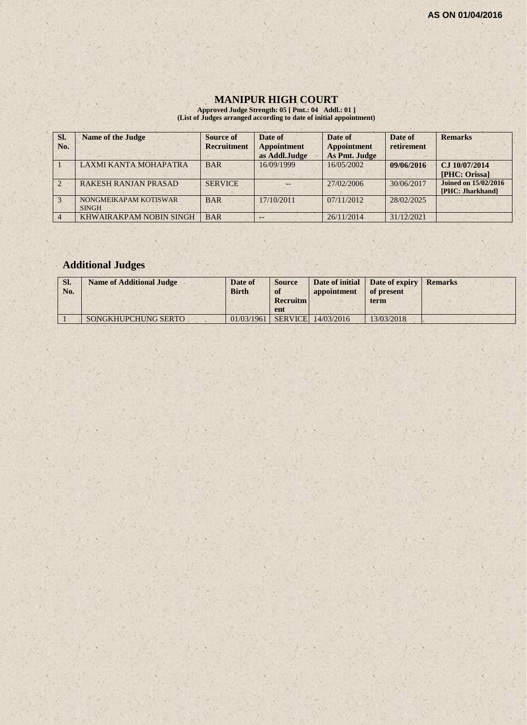#### **MANIPUR HIGH COURT**

**Approved Judge Strength: 05 [ Pmt.: 04 Addl.: 01 ] (List of Judges arranged according to date of initial appointment)**

| SI.<br>No. | <b>Name of the Judge</b>              | Source of<br><b>Recruitment</b> | Date of<br><b>Appointment</b><br>as Addl.Judge | Date of<br><b>Appointment</b><br>As Pmt. Judge | Date of<br>retirement | <b>Remarks</b>                                  |
|------------|---------------------------------------|---------------------------------|------------------------------------------------|------------------------------------------------|-----------------------|-------------------------------------------------|
|            | <b>LAXMI KANTA MOHAPATRA</b>          | <b>BAR</b>                      | 16/09/1999                                     | 16/05/2002                                     | 09/06/2016            | CJ 10/07/2014<br>[PHC: Orissa]                  |
|            | <b>RAKESH RANJAN PRASAD</b>           | <b>SERVICE</b>                  |                                                | 27/02/2006                                     | 30/06/2017            | <b>Joined on 15/02/2016</b><br>[PHC: Jharkhand] |
|            | NONGMEIKAPAM KOTISWAR<br><b>SINGH</b> | <b>BAR</b>                      | 17/10/2011                                     | 07/11/2012                                     | 28/02/2025            |                                                 |
|            | KHWAIRAKPAM NOBIN SINGH               | <b>BAR</b>                      | $- -$                                          | 26/11/2014                                     | 31/12/2021            |                                                 |

# **Additional Judges**

| SI.<br>No. | <b>Name of Additional Judge</b> | Date of<br><b>Birth</b> | <b>Source</b><br>of<br><b>Recruitm</b><br>ent | appointment               | Date of initial Date of expiry<br>of present<br>term | <b>Remarks</b> |
|------------|---------------------------------|-------------------------|-----------------------------------------------|---------------------------|------------------------------------------------------|----------------|
|            | SONGKHUPCHUNG SERTO             | 01/03/1961              |                                               | <b>SERVICE</b> 14/03/2016 | 13/03/2018                                           |                |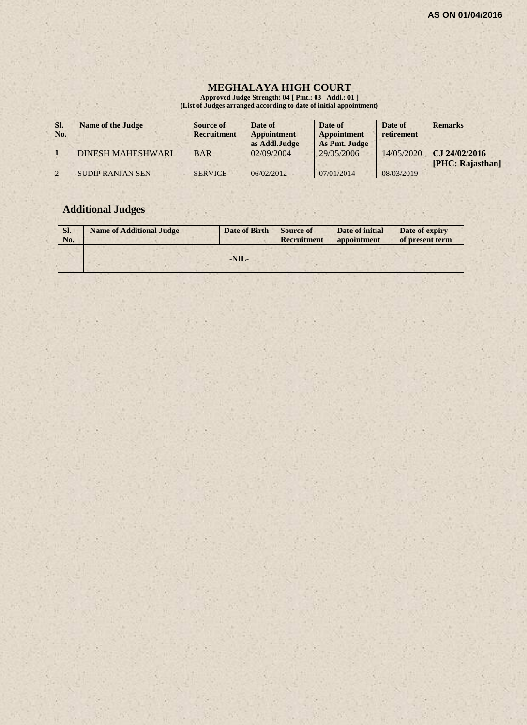$\mathbb{R}^n$ 

#### **MEGHALAYA HIGH COURT**

**Approved Judge Strength: 04 [ Pmt.: 03 Addl.: 01 ] (List of Judges arranged according to date of initial appointment)**

| SI.<br>No. | <b>Name of the Judge</b> | Source of<br><b>Recruitment</b> | Date of<br><b>Appointment</b><br>as Addl.Judge | Date of<br>Appointment<br>As Pmt. Judge | Date of<br>retirement | <b>Remarks</b>                      |
|------------|--------------------------|---------------------------------|------------------------------------------------|-----------------------------------------|-----------------------|-------------------------------------|
|            | DINESH MAHESHWARI        | <b>BAR</b>                      | 02/09/2004                                     | 29/05/2006                              | 14/05/2020            | $CJ$ 24/02/2016<br>[PHC: Rajasthan] |
|            | <b>SUDIP RANJAN SEN</b>  | <b>SERVICE</b>                  | 06/02/2012                                     | 07/01/2014                              | 08/03/2019            |                                     |

# **Additional Judges**

| SI.<br>No. | <b>Name of Additional Judge</b> | Date of Birth | <b>Source of</b><br><b>Recruitment</b> | Date of initial<br>appointment | Date of expiry<br>of present term |
|------------|---------------------------------|---------------|----------------------------------------|--------------------------------|-----------------------------------|
|            |                                 | $-NIL-$       |                                        |                                |                                   |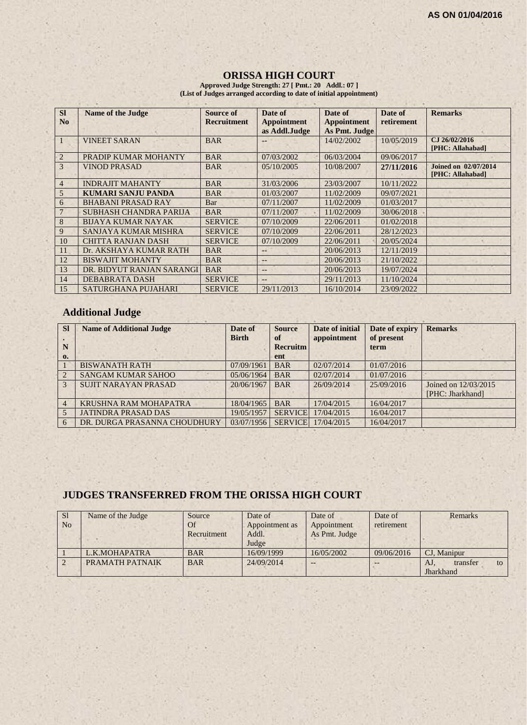### **ORISSA HIGH COURT**

**Approved Judge Strength: 27 [ Pmt.: 20 Addl.: 07 ] (List of Judges arranged according to date of initial appointment)**

| <b>SI</b>      | <b>Name of the Judge</b>      | <b>Source of</b>   | Date of            | Date of            | Date of    | <b>Remarks</b>                           |
|----------------|-------------------------------|--------------------|--------------------|--------------------|------------|------------------------------------------|
| N <sub>0</sub> |                               | <b>Recruitment</b> | <b>Appointment</b> | <b>Appointment</b> | retirement |                                          |
|                |                               |                    | as Addl.Judge      | As Pmt. Judge      |            |                                          |
|                | <b>VINEET SARAN</b>           | <b>BAR</b>         |                    | 14/02/2002         | 10/05/2019 | CJ 26/02/2016<br>[PHC: Allahabad]        |
| $\overline{2}$ | PRADIP KUMAR MOHANTY          | <b>BAR</b>         | 07/03/2002         | 06/03/2004         | 09/06/2017 |                                          |
| 3              | <b>VINOD PRASAD</b>           | <b>BAR</b>         | 05/10/2005         | 10/08/2007         | 27/11/2016 | Joined on 02/07/2014<br>[PHC: Allahabad] |
| $\overline{4}$ | <b>INDRAJIT MAHANTY</b>       | <b>BAR</b>         | 31/03/2006         | 23/03/2007         | 10/11/2022 |                                          |
| 5              | <b>KUMARI SANJU PANDA</b>     | <b>BAR</b>         | 01/03/2007         | 11/02/2009         | 09/07/2021 |                                          |
| 6              | <b>BHABANI PRASAD RAY</b>     | Bar                | 07/11/2007         | 11/02/2009         | 01/03/2017 |                                          |
|                | <b>SUBHASH CHANDRA PARIJA</b> | <b>BAR</b>         | 07/11/2007         | 11/02/2009         | 30/06/2018 |                                          |
| 8              | <b>BUAYA KUMAR NAYAK</b>      | <b>SERVICE</b>     | 07/10/2009         | 22/06/2011         | 01/02/2018 |                                          |
| 9              | SANJAYA KUMAR MISHRA          | <b>SERVICE</b>     | 07/10/2009         | 22/06/2011         | 28/12/2023 |                                          |
| 10             | <b>CHITTA RANJAN DASH</b>     | <b>SERVICE</b>     | 07/10/2009         | 22/06/2011         | 20/05/2024 |                                          |
| <sup>1</sup>   | Dr. AKSHAYA KUMAR RATH        | <b>BAR</b>         |                    | 20/06/2013         | 12/11/2019 |                                          |
| 12             | <b>BISWAJIT MOHANTY</b>       | <b>BAR</b>         | $-$                | 20/06/2013         | 21/10/2022 |                                          |
| 13             | DR. BIDYUT RANJAN SARANGI     | <b>BAR</b>         | $-$                | 20/06/2013         | 19/07/2024 |                                          |
| 14             | <b>DEBABRATA DASH</b>         | <b>SERVICE</b>     | --                 | 29/11/2013         | 11/10/2024 |                                          |
| 15             | SATURGHANA PUJAHARI           | <b>SERVICE</b>     | 29/11/2013         | 16/10/2014         | 23/09/2022 |                                          |

# **Additional Judge**

| <b>SI</b>                   | <b>Name of Additional Judge</b> | Date of<br><b>Birth</b> | <b>Source</b><br>of | Date of initial<br>appointment | Date of expiry<br>of present | <b>Remarks</b>       |
|-----------------------------|---------------------------------|-------------------------|---------------------|--------------------------------|------------------------------|----------------------|
| N                           |                                 |                         | <b>Recruitm</b>     |                                | term                         |                      |
| 0.                          |                                 |                         | ent                 |                                |                              |                      |
|                             | <b>BISWANATH RATH</b>           | 07/09/1961              | <b>BAR</b>          | 02/07/2014                     | 01/07/2016                   |                      |
| $\mathcal{D}_{\mathcal{L}}$ | <b>SANGAM KUMAR SAHOO</b>       | 05/06/1964              | <b>BAR</b>          | 02/07/2014                     | 01/07/2016                   |                      |
| $\mathcal{R}$               | <b>SUJIT NARAYAN PRASAD</b>     | 20/06/1967              | <b>BAR</b>          | 26/09/2014                     | 25/09/2016                   | Joined on 12/03/2015 |
|                             |                                 |                         |                     |                                |                              | [PHC: Jharkhand]     |
| $\overline{4}$              | KRUSHNA RAM MOHAPATRA           | 18/04/1965              | <b>BAR</b>          | 17/04/2015                     | 16/04/2017                   |                      |
|                             | <b>JATINDRA PRASAD DAS</b>      | 19/05/1957              | <b>SERVICE</b>      | 17/04/2015                     | 16/04/2017                   |                      |
| $\sqrt{2}$                  | DR. DURGA PRASANNA CHOUDHURY    | 03/07/1956              | <b>SERVICE</b>      | 17/04/2015                     | 16/04/2017                   |                      |

# **JUDGES TRANSFERRED FROM THE ORISSA HIGH COURT**

| <sub>S1</sub>  | Name of the Judge | Source      | Date of        | Date of       | Date of    | Remarks              |
|----------------|-------------------|-------------|----------------|---------------|------------|----------------------|
| N <sub>0</sub> |                   | Of          | Appointment as | Appointment   | retirement |                      |
|                |                   | Recruitment | Addl.          | As Pmt. Judge |            |                      |
|                |                   |             | Judge          |               |            |                      |
|                | L.K.MOHAPATRA     | <b>BAR</b>  | 16/09/1999     | 16/05/2002    | 09/06/2016 | CJ. Manipur          |
|                | PRAMATH PATNAIK   | <b>BAR</b>  | 24/09/2014     | $-$           |            | transfer<br>AJ<br>to |
|                |                   |             |                |               |            | Jharkhand            |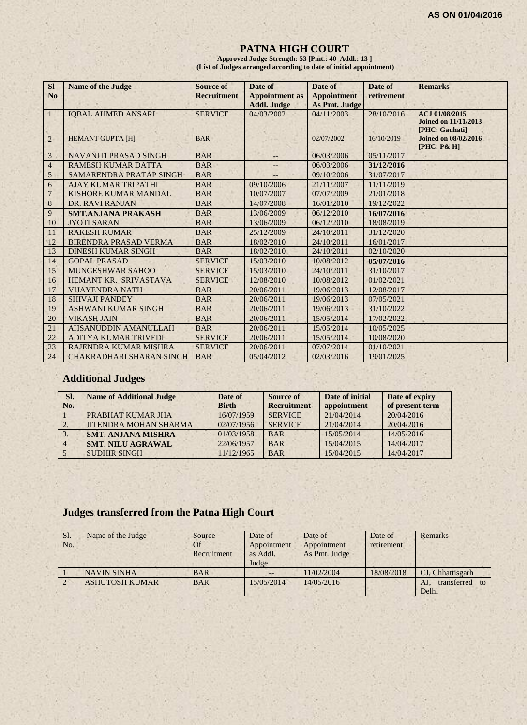## **PATNA HIGH COURT**

**Approved Judge Strength: 53 [Pmt.: 40 Addl.: 13 ] (List of Judges arranged according to date of initial appointment)**

| <b>SI</b>      | <b>Name of the Judge</b>        | Source of          | Date of               | Date of            | Date of    | <b>Remarks</b>                                                  |
|----------------|---------------------------------|--------------------|-----------------------|--------------------|------------|-----------------------------------------------------------------|
| N <sub>o</sub> |                                 | <b>Recruitment</b> | <b>Appointment</b> as | <b>Appointment</b> | retirement |                                                                 |
|                |                                 |                    | <b>Addl. Judge</b>    | As Pmt. Judge      |            |                                                                 |
| $\mathbf{1}$   | <b>IQBAL AHMED ANSARI</b>       | <b>SERVICE</b>     | 04/03/2002            | 04/11/2003         | 28/10/2016 | ACJ 01/08/2015<br><b>Joined on 11/11/2013</b><br>[PHC: Gauhati] |
| $\overline{2}$ | <b>HEMANT GUPTA [H]</b>         | <b>BAR</b>         |                       | 02/07/2002         | 16/10/2019 | <b>Joined on 08/02/2016</b><br>[PHC: P& H]                      |
| 3              | <b>NAVANITI PRASAD SINGH</b>    | <b>BAR</b>         | --                    | 06/03/2006         | 05/11/2017 |                                                                 |
| $\overline{4}$ | RAMESH KUMAR DATTA              | <b>BAR</b>         |                       | 06/03/2006         | 31/12/2016 |                                                                 |
| 5              | SAMARENDRA PRATAP SINGH         | <b>BAR</b>         |                       | 09/10/2006         | 31/07/2017 |                                                                 |
| 6              | <b>AJAY KUMAR TRIPATHI</b>      | <b>BAR</b>         | 09/10/2006            | 21/11/2007         | 11/11/2019 |                                                                 |
| $\overline{7}$ | KISHORE KUMAR MANDAL            | <b>BAR</b>         | 10/07/2007            | 07/07/2009         | 21/01/2018 |                                                                 |
| 8              | DR. RAVI RANJAN                 | <b>BAR</b>         | 14/07/2008            | 16/01/2010         | 19/12/2022 |                                                                 |
| 9              | <b>SMT.ANJANA PRAKASH</b>       | <b>BAR</b>         | 13/06/2009            | 06/12/2010         | 16/07/2016 |                                                                 |
| 10             | <b>JYOTI SARAN</b>              | <b>BAR</b>         | 13/06/2009            | 06/12/2010         | 18/08/2019 |                                                                 |
| 11             | <b>RAKESH KUMAR</b>             | <b>BAR</b>         | 25/12/2009            | 24/10/2011         | 31/12/2020 |                                                                 |
| 12             | <b>BIRENDRA PRASAD VERMA</b>    | <b>BAR</b>         | 18/02/2010            | 24/10/2011         | 16/01/2017 |                                                                 |
| 13             | <b>DINESH KUMAR SINGH</b>       | <b>BAR</b>         | 18/02/2010            | 24/10/2011         | 02/10/2020 |                                                                 |
| 14             | <b>GOPAL PRASAD</b>             | <b>SERVICE</b>     | 15/03/2010            | 10/08/2012         | 05/07/2016 |                                                                 |
| 15             | MUNGESHWAR SAHOO                | <b>SERVICE</b>     | 15/03/2010            | 24/10/2011         | 31/10/2017 |                                                                 |
| 16             | HEMANT KR. SRIVASTAVA           | <b>SERVICE</b>     | 12/08/2010            | 10/08/2012         | 01/02/2021 |                                                                 |
| 17             | <b>VIJAYENDRA NATH</b>          | <b>BAR</b>         | 20/06/2011            | 19/06/2013         | 12/08/2017 |                                                                 |
| 18             | <b>SHIVAJI PANDEY</b>           | <b>BAR</b>         | 20/06/2011            | 19/06/2013         | 07/05/2021 |                                                                 |
| 19             | <b>ASHWANI KUMAR SINGH</b>      | <b>BAR</b>         | 20/06/2011            | 19/06/2013         | 31/10/2022 |                                                                 |
| 20             | <b>VIKASH JAIN</b>              | <b>BAR</b>         | 20/06/2011            | 15/05/2014         | 17/02/2022 |                                                                 |
| 21             | <b>AHSANUDDIN AMANULLAH</b>     | <b>BAR</b>         | 20/06/2011            | 15/05/2014         | 10/05/2025 |                                                                 |
| 22             | <b>ADITYA KUMAR TRIVEDI</b>     | <b>SERVICE</b>     | 20/06/2011            | 15/05/2014         | 10/08/2020 |                                                                 |
| 23             | RAJENDRA KUMAR MISHRA           | <b>SERVICE</b>     | 20/06/2011            | 07/07/2014         | 01/10/2021 |                                                                 |
| 24             | <b>CHAKRADHARI SHARAN SINGH</b> | <b>BAR</b>         | 05/04/2012            | 02/03/2016         | 19/01/2025 |                                                                 |

# **Additional Judges**

| SI.<br>No. | <b>Name of Additional Judge</b> | Date of<br><b>Birth</b> | Source of<br><b>Recruitment</b> | Date of initial<br>appointment | Date of expiry<br>of present term |
|------------|---------------------------------|-------------------------|---------------------------------|--------------------------------|-----------------------------------|
|            | PRABHAT KUMAR JHA               | 16/07/1959              | <b>SERVICE</b>                  | 21/04/2014                     | 20/04/2016                        |
|            | <b>JITENDRA MOHAN SHARMA</b>    | 02/07/1956              | <b>SERVICE</b>                  | 21/04/2014                     | 20/04/2016                        |
|            | <b>SMT. ANJANA MISHRA</b>       | 01/03/1958              | <b>BAR</b>                      | 15/05/2014                     | 14/05/2016                        |
|            | <b>SMT. NILU AGRAWAL</b>        | 22/06/1957              | <b>BAR</b>                      | 15/04/2015                     | 14/04/2017                        |
|            | <b>SUDHIR SINGH</b>             | 11/12/1965              | <b>BAR</b>                      | 15/04/2015                     | 14/04/2017                        |

# **Judges transferred from the Patna High Court**

| Sl. | Name of the Judge     | Source      | Date of     | Date of       | Date of    | Remarks                           |
|-----|-----------------------|-------------|-------------|---------------|------------|-----------------------------------|
| No. |                       | Of          | Appointment | Appointment   | retirement |                                   |
|     |                       | Recruitment | as Addl.    | As Pmt. Judge |            |                                   |
|     |                       |             | Judge       |               |            |                                   |
|     | <b>NAVIN SINHA</b>    | <b>BAR</b>  |             | 11/02/2004    | 18/08/2018 | CJ. Chhattisgarh                  |
|     | <b>ASHUTOSH KUMAR</b> | <b>BAR</b>  | 15/05/2014  | 14/05/2016    |            | transferred<br>AJ<br>$f_{\Omega}$ |
|     |                       |             |             |               |            | Delhi                             |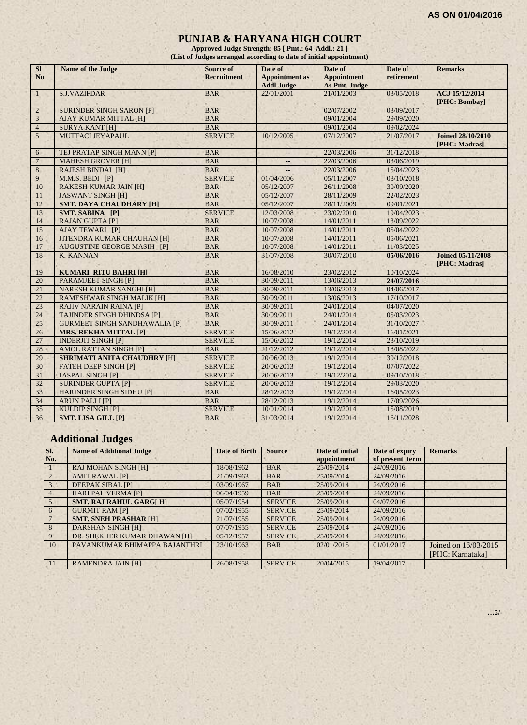### **PUNJAB & HARYANA HIGH COURT**

**Approved Judge Strength: 85 [ Pmt.: 64 Addl.: 21 ] (List of Judges arranged according to date of initial appointment)**

| <b>SI</b><br>N <sub>o</sub> | <b>Name of the Judge</b>             | Source of<br><b>Recruitment</b> | Date of<br><b>Appointment</b> as | Date of<br><b>Appointment</b> | Date of<br>retirement | <b>Remarks</b>                            |
|-----------------------------|--------------------------------------|---------------------------------|----------------------------------|-------------------------------|-----------------------|-------------------------------------------|
|                             |                                      |                                 | <b>Addl.Judge</b>                | <b>As Pmt. Judge</b>          |                       |                                           |
| $\mathbf{1}$                | <b>S.J.VAZIFDAR</b>                  | <b>BAR</b>                      | 22/01/2001                       | 21/01/2003                    | 03/05/2018            | ACJ 15/12/2014<br>[PHC: Bombay]           |
| $\overline{2}$              | <b>SURINDER SINGH SARON [P]</b>      | <b>BAR</b>                      | $-$                              | 02/07/2002                    | 03/09/2017            |                                           |
| 3                           | <b>AJAY KUMAR MITTAL [H]</b>         | <b>BAR</b>                      | $\qquad \qquad -$                | 09/01/2004                    | 29/09/2020            |                                           |
| $\overline{4}$              | <b>SURYA KANT [H]</b>                | <b>BAR</b>                      |                                  | 09/01/2004                    | 09/02/2024            |                                           |
| 5                           | <b>MUTTACI JEYAPAUL</b>              | <b>SERVICE</b>                  | 10/12/2005                       | 07/12/2007                    | 21/07/2017            | <b>Joined 28/10/2010</b><br>[PHC: Madras] |
| 6                           | TEJ PRATAP SINGH MANN [P]            | <b>BAR</b>                      | $\overline{\phantom{a}}$         | 22/03/2006                    | 31/12/2018            |                                           |
| $\overline{7}$              | <b>MAHESH GROVER [H]</b>             | <b>BAR</b>                      |                                  | 22/03/2006                    | 03/06/2019            |                                           |
| 8                           | <b>RAJESH BINDAL [H]</b>             | <b>BAR</b>                      | $\overline{a}$                   | 22/03/2006                    | 15/04/2023            |                                           |
| 9                           | M.M.S. BEDI [P]                      | <b>SERVICE</b>                  | 01/04/2006                       | 05/11/2007                    | 08/10/2018            |                                           |
| 10                          | <b>RAKESH KUMAR JAIN [H]</b>         | <b>BAR</b>                      | 05/12/2007                       | 26/11/2008                    | 30/09/2020            |                                           |
| 11                          | <b>JASWANT SINGH [H]</b>             | <b>BAR</b>                      | 05/12/2007                       | 28/11/2009                    | 22/02/2023            |                                           |
| 12                          | <b>SMT. DAYA CHAUDHARY [H]</b>       | <b>BAR</b>                      | 05/12/2007                       | 28/11/2009                    | 09/01/2021            |                                           |
| 13                          | <b>SMT. SABINA [P]</b>               | <b>SERVICE</b>                  | 12/03/2008                       | 23/02/2010                    | 19/04/2023            |                                           |
| 14                          | <b>RAJAN GUPTA [P]</b>               | <b>BAR</b>                      | 10/07/2008                       | 14/01/2011                    | 13/09/2022            |                                           |
| 15                          | <b>AJAY TEWARI [P]</b>               | <b>BAR</b>                      | 10/07/2008                       | 14/01/2011                    | 05/04/2022            |                                           |
| 16                          | <b>JITENDRA KUMAR CHAUHAN [H]</b>    | <b>BAR</b>                      | 10/07/2008                       | 14/01/2011                    | 05/06/2021            |                                           |
| 17                          | <b>AUGUSTINE GEORGE MASIH [P]</b>    | <b>BAR</b>                      | 10/07/2008                       | 14/01/2011                    | 11/03/2025            |                                           |
| 18                          | <b>K. KANNAN</b>                     | <b>BAR</b>                      | 31/07/2008                       | 30/07/2010                    | 05/06/2016            | <b>Joined 05/11/2008</b><br>[PHC: Madras] |
| 19                          | <b>KUMARI RITU BAHRI [H]</b>         | <b>BAR</b>                      | 16/08/2010                       | 23/02/2012                    | 10/10/2024            |                                           |
| 20                          | <b>PARAMJEET SINGH [P]</b>           | <b>BAR</b>                      | 30/09/2011                       | 13/06/2013                    | 24/07/2016            |                                           |
| 21                          | <b>NARESH KUMAR SANGHI [H]</b>       | <b>BAR</b>                      | 30/09/2011                       | 13/06/2013                    | 04/06/2017            |                                           |
| 22                          | <b>RAMESHWAR SINGH MALIK [H]</b>     | <b>BAR</b>                      | 30/09/2011                       | 13/06/2013                    | 17/10/2017            |                                           |
| 23                          | <b>RAJIV NARAIN RAINA [P]</b>        | <b>BAR</b>                      | 30/09/2011                       | 24/01/2014                    | 04/07/2020            |                                           |
| 24                          | <b>TAJINDER SINGH DHINDSA [P]</b>    | <b>BAR</b>                      | 30/09/2011                       | 24/01/2014                    | 05/03/2023            |                                           |
| 25                          | <b>GURMEET SINGH SANDHAWALIA [P]</b> | <b>BAR</b>                      | 30/09/2011                       | 24/01/2014                    | 31/10/2027            |                                           |
| 26                          | <b>MRS. REKHA MITTAL [P]</b>         | <b>SERVICE</b>                  | 15/06/2012                       | 19/12/2014                    | 16/01/2021            |                                           |
| 27                          | <b>INDERJIT SINGH [P]</b>            | <b>SERVICE</b>                  | 15/06/2012                       | 19/12/2014                    | 23/10/2019            |                                           |
| 28                          | <b>AMOL RATTAN SINGH [P]</b>         | <b>BAR</b>                      | 21/12/2012                       | 19/12/2014                    | 18/08/2022            | $\alpha$                                  |
| 29                          | <b>SHRIMATI ANITA CHAUDHRY [H]</b>   | <b>SERVICE</b>                  | 20/06/2013                       | 19/12/2014                    | 30/12/2018            |                                           |
| 30                          | <b>FATEH DEEP SINGH [P]</b>          | <b>SERVICE</b>                  | 20/06/2013                       | 19/12/2014                    | 07/07/2022            |                                           |
| 31                          | <b>JASPAL SINGH [P]</b>              | <b>SERVICE</b>                  | 20/06/2013                       | 19/12/2014                    | 09/10/2018            |                                           |
| 32                          | <b>SURINDER GUPTA [P]</b>            | <b>SERVICE</b>                  | 20/06/2013                       | 19/12/2014                    | 29/03/2020            |                                           |
| 33                          | <b>HARINDER SINGH SIDHU [P]</b>      | <b>BAR</b>                      | 28/12/2013                       | 19/12/2014                    | 16/05/2023            |                                           |
| 34                          | <b>ARUN PALLI [P]</b>                | <b>BAR</b>                      | 28/12/2013                       | 19/12/2014                    | 17/09/2026            |                                           |
| 35                          | <b>KULDIP SINGH [P]</b>              | <b>SERVICE</b>                  | 10/01/2014                       | 19/12/2014                    | 15/08/2019            |                                           |
| 36                          | <b>SMT. LISA GILL [P]</b>            | <b>BAR</b>                      | 31/03/2014                       | 19/12/2014                    | 16/11/2028            |                                           |

# **Additional Judges**

| SI. | <b>Name of Additional Judge</b> | <b>Date of Birth</b> | <b>Source</b>  | Date of initial | Date of expiry  | <b>Remarks</b>       |
|-----|---------------------------------|----------------------|----------------|-----------------|-----------------|----------------------|
| No. |                                 |                      |                | appointment     | of present term |                      |
|     | <b>RAJ MOHAN SINGH [H]</b>      | 18/08/1962           | <b>BAR</b>     | 25/09/2014      | 24/09/2016      |                      |
|     | <b>AMIT RAWAL [P]</b>           | 21/09/1963           | <b>BAR</b>     | 25/09/2014      | 24/09/2016      |                      |
| 3.1 | <b>DEEPAK SIBAL [P]</b>         | 03/09/1967           | <b>BAR</b>     | 25/09/2014      | 24/09/2016      |                      |
| 4.  | <b>HARI PAL VERMA [P]</b>       | 06/04/1959           | <b>BAR</b>     | 25/09/2014      | 24/09/2016      |                      |
| 5.  | <b>SMT. RAJ RAHUL GARG[H]</b>   | 05/07/1954           | <b>SERVICE</b> | 25/09/2014      | 04/07/2016      |                      |
| 6   | <b>GURMIT RAM [P]</b>           | 07/02/1955           | <b>SERVICE</b> | 25/09/2014      | 24/09/2016      |                      |
|     | <b>SMT. SNEH PRASHAR [H]</b>    | 21/07/1955           | <b>SERVICE</b> | 25/09/2014      | 24/09/2016      |                      |
| 8   | <b>DARSHAN SINGH [H]</b>        | 07/07/1955           | <b>SERVICE</b> | 25/09/2014      | 24/09/2016      |                      |
| 9   | DR. SHEKHER KUMAR DHAWAN [H]    | 05/12/1957           | <b>SERVICE</b> | 25/09/2014      | 24/09/2016      |                      |
| 10  | PAVANKUMAR BHIMAPPA BAJANTHRI   | 23/10/1963           | <b>BAR</b>     | 02/01/2015      | 01/01/2017      | Joined on 16/03/2015 |
|     |                                 |                      |                |                 |                 | [PHC: Karnataka]     |
| 11  | <b>RAMENDRA JAIN [H]</b>        | 26/08/1958           | <b>SERVICE</b> | 20/04/2015      | 19/04/2017      |                      |

 $1.1$ 

 $1.1.1$ 

 $\frac{1}{2}$ 

**…2/-**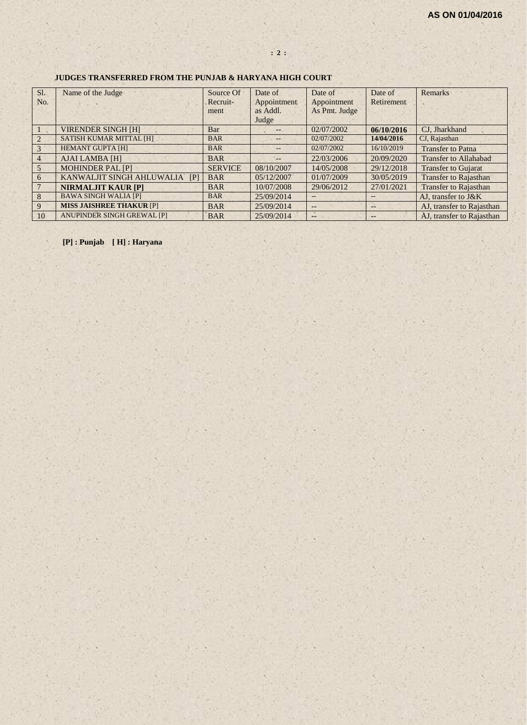#### **JUDGES TRANSFERRED FROM THE PUNJAB & HARYANA HIGH COURT**

| Sl.            | Name of the Judge                 | Source Of      | Date of                  | Date of           | Date of    | Remarks                      |
|----------------|-----------------------------------|----------------|--------------------------|-------------------|------------|------------------------------|
| No.            |                                   | Recruit-       | Appointment              | Appointment       | Retirement |                              |
|                |                                   | ment           | as Addl.                 | As Pmt. Judge     |            |                              |
|                |                                   |                | Judge                    |                   |            |                              |
|                | <b>VIRENDER SINGH [H]</b>         | Bar            | $- -$                    | 02/07/2002        | 06/10/2016 | CJ, Jharkhand                |
| $\mathcal{L}$  | <b>SATISH KUMAR MITTAL [H]</b>    | <b>BAR</b>     | $\overline{\phantom{a}}$ | 02/07/2002        | 14/04/2016 | CJ, Rajasthan                |
| 3              | <b>HEMANT GUPTA [H]</b>           | <b>BAR</b>     |                          | 02/07/2002        | 16/10/2019 | <b>Transfer to Patna</b>     |
| $\overline{4}$ | <b>AJAI LAMBA [H]</b>             | <b>BAR</b>     | $--$                     | 22/03/2006        | 20/09/2020 | <b>Transfer to Allahabad</b> |
| 5              | <b>MOHINDER PAL [P]</b>           | <b>SERVICE</b> | 08/10/2007               | 14/05/2008        | 29/12/2018 | <b>Transfer to Gujarat</b>   |
| 6              | KANWALJIT SINGH AHLUWALIA<br>[P]  | <b>BAR</b>     | 05/12/2007               | 01/07/2009        | 30/05/2019 | <b>Transfer to Rajasthan</b> |
|                | <b>NIRMALJIT KAUR [P]</b>         | <b>BAR</b>     | 10/07/2008               | 29/06/2012        | 27/01/2021 | <b>Transfer to Rajasthan</b> |
| 8              | <b>BAWA SINGH WALIA [P]</b>       | <b>BAR</b>     | 25/09/2014               | $\qquad \qquad -$ |            | AJ, transfer to J&K          |
| 9              | <b>MISS JAISHREE THAKUR [P]</b>   | <b>BAR</b>     | 25/09/2014               | $\qquad \qquad -$ |            | AJ, transfer to Rajasthan    |
| 10             | <b>ANUPINDER SINGH GREWAL [P]</b> | <b>BAR</b>     | 25/09/2014               | A                 | --         | AJ, transfer to Rajasthan    |

**[P] : Punjab [ H] : Haryana**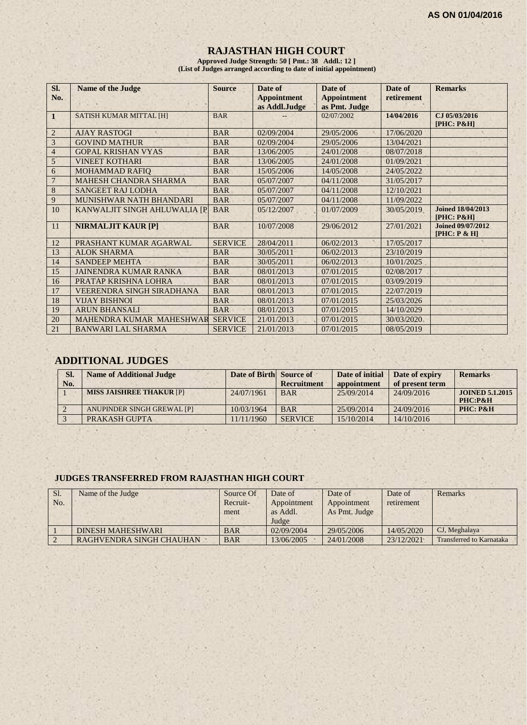# **RAJASTHAN HIGH COURT**

**Approved Judge Strength: 50 [ Pmt.: 38 Addl.: 12 ] (List of Judges arranged according to date of initial appointment)**

| Sl.<br>No.     | <b>Name of the Judge</b>         | <b>Source</b>  | Date of<br><b>Appointment</b> | Date of<br><b>Appointment</b> | Date of<br>retirement | <b>Remarks</b>                            |
|----------------|----------------------------------|----------------|-------------------------------|-------------------------------|-----------------------|-------------------------------------------|
|                |                                  |                | as Addl.Judge                 | as Pmt. Judge                 |                       |                                           |
| $\mathbf{1}$   | <b>SATISH KUMAR MITTAL [H]</b>   | <b>BAR</b>     |                               | 02/07/2002                    | 14/04/2016            | CJ 05/03/2016<br>$[PHC: P\&H]$            |
| $\overline{2}$ | <b>AJAY RASTOGI</b>              | <b>BAR</b>     | 02/09/2004                    | 29/05/2006                    | 17/06/2020            |                                           |
| 3              | <b>GOVIND MATHUR</b>             | <b>BAR</b>     | 02/09/2004                    | 29/05/2006                    | 13/04/2021            |                                           |
| $\overline{4}$ | <b>GOPAL KRISHAN VYAS</b>        | <b>BAR</b>     | 13/06/2005                    | 24/01/2008                    | 08/07/2018            |                                           |
| 5 <sup>′</sup> | <b>VINEET KOTHARI</b>            | <b>BAR</b>     | 13/06/2005                    | 24/01/2008                    | 01/09/2021            |                                           |
| 6              | <b>MOHAMMAD RAFIO</b>            | <b>BAR</b>     | 15/05/2006                    | 14/05/2008                    | 24/05/2022            |                                           |
| $\overline{7}$ | <b>MAHESH CHANDRA SHARMA</b>     | <b>BAR</b>     | 05/07/2007                    | 04/11/2008                    | 31/05/2017            |                                           |
| 8              | <b>SANGEET RAJ LODHA</b>         | <b>BAR</b>     | 05/07/2007                    | 04/11/2008                    | 12/10/2021            |                                           |
| 9              | <b>MUNISHWAR NATH BHANDARI</b>   | <b>BAR</b>     | 05/07/2007                    | 04/11/2008                    | 11/09/2022            |                                           |
| 10             | KANWALJIT SINGH AHLUWALIA [P     | <b>BAR</b>     | 05/12/2007                    | 01/07/2009                    | 30/05/2019            | <b>Joined 18/04/2013</b><br>$[PHC: P\&H]$ |
| 11             | <b>NIRMALJIT KAUR [P]</b>        | <b>BAR</b>     | 10/07/2008                    | 29/06/2012                    | 27/01/2021            | <b>Joined 09/07/2012</b><br>[PHC: P & H]  |
| 12             | PRASHANT KUMAR AGARWAL           | <b>SERVICE</b> | 28/04/2011                    | 06/02/2013                    | 17/05/2017            |                                           |
| 13             | <b>ALOK SHARMA</b>               | <b>BAR</b>     | 30/05/2011                    | 06/02/2013                    | 23/10/2019            |                                           |
| 14             | <b>SANDEEP MEHTA</b>             | <b>BAR</b>     | 30/05/2011                    | 06/02/2013                    | 10/01/2025            |                                           |
| 15             | <b>JAINENDRA KUMAR RANKA</b>     | <b>BAR</b>     | 08/01/2013                    | 07/01/2015                    | 02/08/2017            |                                           |
| 16             | PRATAP KRISHNA LOHRA             | <b>BAR</b>     | 08/01/2013                    | 07/01/2015                    | 03/09/2019            |                                           |
| 17             | <b>VEERENDRA SINGH SIRADHANA</b> | <b>BAR</b>     | 08/01/2013                    | 07/01/2015                    | 22/07/2019            |                                           |
| 18             | <b>VIJAY BISHNOI</b>             | <b>BAR</b>     | 08/01/2013                    | 07/01/2015                    | 25/03/2026            |                                           |
| 19             | <b>ARUN BHANSALI</b>             | <b>BAR</b>     | 08/01/2013                    | 07/01/2015                    | 14/10/2029            |                                           |
| 20             | MAHENDRA KUMAR MAHESHWAR         | <b>SERVICE</b> | 21/01/2013                    | 07/01/2015                    | 30/03/2020            |                                           |
| 21             | <b>BANWARI LAL SHARMA</b>        | <b>SERVICE</b> | 21/01/2013                    | 07/01/2015                    | 08/05/2019            |                                           |

# **ADDITIONAL JUDGES**

| SI.<br>No. | <b>Name of Additional Judge</b> | Date of Birth Source of | <b>Recruitment</b> | Date of initial<br>appointment | Date of expiry<br>of present term | <b>Remarks</b>                    |
|------------|---------------------------------|-------------------------|--------------------|--------------------------------|-----------------------------------|-----------------------------------|
|            | <b>MISS JAISHREE THAKUR [P]</b> | 24/07/1961              | <b>BAR</b>         | 25/09/2014                     | 24/09/2016                        | <b>JOINED 5.1.2015</b><br>PHC:P&H |
|            | ANUPINDER SINGH GREWAL [P]      | 10/03/1964              | <b>BAR</b>         | 25/09/2014                     | 24/09/2016                        | PHC: P&H                          |
|            | PRAKASH GUPTA                   | 1/11/1960               | <b>SERVICE</b>     | 15/10/2014                     | 14/10/2016                        |                                   |

#### **JUDGES TRANSFERRED FROM RAJASTHAN HIGH COURT**

| Sl.<br>No. | Name of the Judge        | Source Of<br>Recruit-<br>ment | Date of<br>Appointment<br>as Addl. | Date of<br>Appointment<br>As Pmt. Judge | Date of<br>retirement | <b>Remarks</b>           |
|------------|--------------------------|-------------------------------|------------------------------------|-----------------------------------------|-----------------------|--------------------------|
|            |                          |                               | Judge                              |                                         |                       |                          |
|            | DINESH MAHESHWARI        | <b>BAR</b>                    | 02/09/2004                         | 29/05/2006                              | 14/05/2020            | CJ, Meghalaya            |
|            | RAGHVENDRA SINGH CHAUHAN | <b>BAR</b>                    | 13/06/2005                         | 24/01/2008                              | 23/12/2021            | Transferred to Karnataka |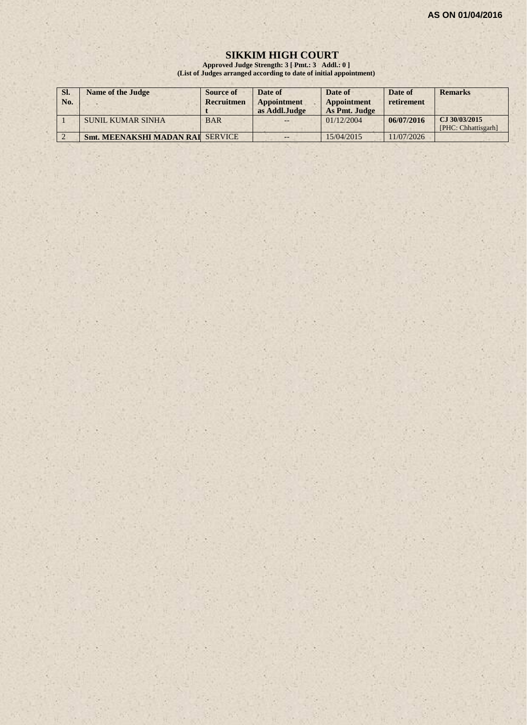## **SIKKIM HIGH COURT**

**Approved Judge Strength: 3 [ Pmt.: 3 Addl.: 0 ] (List of Judges arranged according to date of initial appointment)**

| SI.<br>No. | <b>Name of the Judge</b>                | Source of<br>Recruitmen | Date of<br>Appointment<br>as Addl.Judge | Date of<br>Appointment<br>As Pmt. Judge | Date of<br>retirement | <b>Remarks</b>                       |
|------------|-----------------------------------------|-------------------------|-----------------------------------------|-----------------------------------------|-----------------------|--------------------------------------|
|            | SUNIL KUMAR SINHA                       | <b>BAR</b>              | $- -$                                   | 01/12/2004                              | 06/07/2016            | CJ 30/03/2015<br>[PHC: Chhattisgarh] |
|            | <b>Smt. MEENAKSHI MADAN RAI SERVICE</b> |                         | --                                      | 15/04/2015                              | 11/07/2026            |                                      |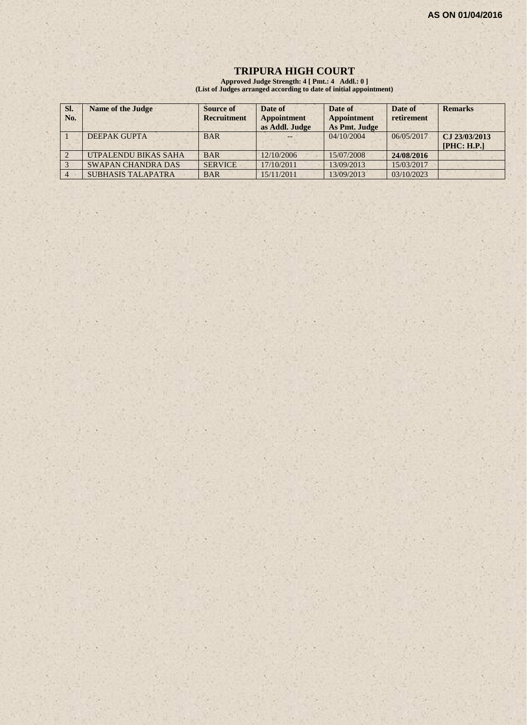#### **TRIPURA HIGH COURT**

**Approved Judge Strength: 4 [ Pmt.: 4 Addl.: 0 ] (List of Judges arranged according to date of initial appointment)**

| SI.<br>No. | <b>Name of the Judge</b>  | Source of<br><b>Recruitment</b> | Date of<br><b>Appointment</b><br>as Addl. Judge | Date of<br>Appointment<br>As Pmt. Judge | Date of<br>retirement | <b>Remarks</b>               |
|------------|---------------------------|---------------------------------|-------------------------------------------------|-----------------------------------------|-----------------------|------------------------------|
|            | DEEPAK GUPTA              | <b>BAR</b>                      |                                                 | 04/10/2004                              | 06/05/2017            | CJ 23/03/2013<br>[PHC: H.P.] |
|            | UTPALENDU BIKAS SAHA      | <b>BAR</b>                      | 12/10/2006                                      | 15/07/2008                              | 24/08/2016            |                              |
|            | <b>SWAPAN CHANDRA DAS</b> | <b>SERVICE</b>                  | 17/10/2011                                      | 13/09/2013                              | 15/03/2017            |                              |
|            | <b>SUBHASIS TALAPATRA</b> | <b>BAR</b>                      | 15/11/2011                                      | 13/09/2013                              | 03/10/2023            |                              |